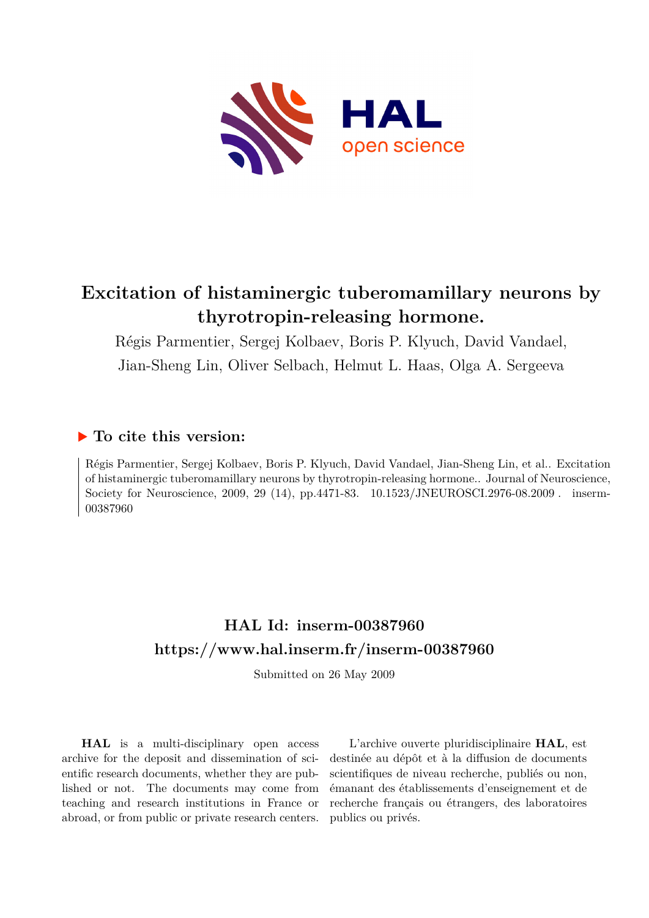

# **Excitation of histaminergic tuberomamillary neurons by thyrotropin-releasing hormone.**

Régis Parmentier, Sergej Kolbaev, Boris P. Klyuch, David Vandael, Jian-Sheng Lin, Oliver Selbach, Helmut L. Haas, Olga A. Sergeeva

## **To cite this version:**

Régis Parmentier, Sergej Kolbaev, Boris P. Klyuch, David Vandael, Jian-Sheng Lin, et al.. Excitation of histaminergic tuberomamillary neurons by thyrotropin-releasing hormone.. Journal of Neuroscience, Society for Neuroscience, 2009, 29 (14), pp.4471-83.  $10.1523/JNEUROSCI.2976-08.2009$ . inserm-00387960ff

# **HAL Id: inserm-00387960 <https://www.hal.inserm.fr/inserm-00387960>**

Submitted on 26 May 2009

**HAL** is a multi-disciplinary open access archive for the deposit and dissemination of scientific research documents, whether they are published or not. The documents may come from teaching and research institutions in France or abroad, or from public or private research centers.

L'archive ouverte pluridisciplinaire **HAL**, est destinée au dépôt et à la diffusion de documents scientifiques de niveau recherche, publiés ou non, émanant des établissements d'enseignement et de recherche français ou étrangers, des laboratoires publics ou privés.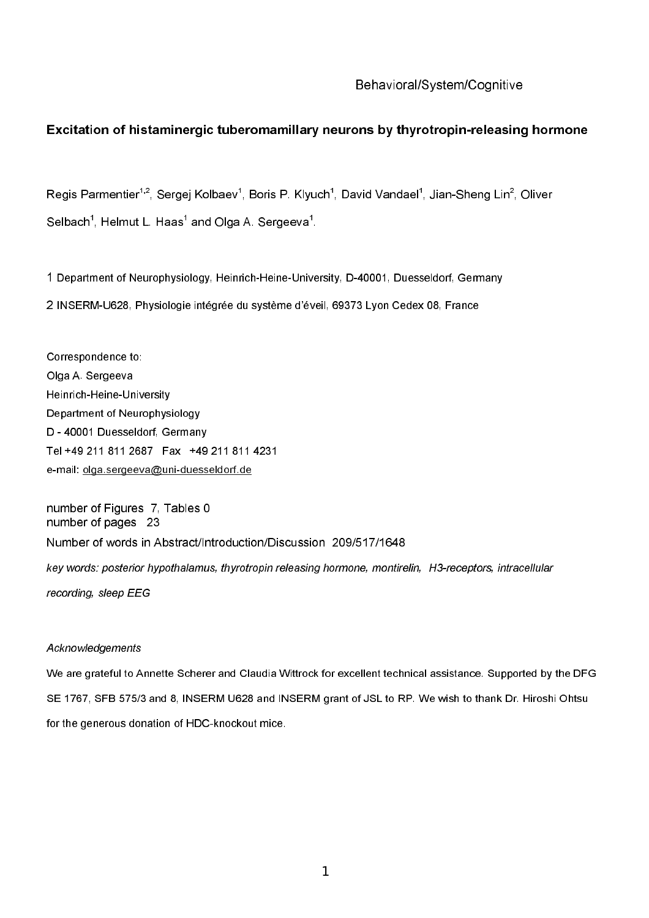#### Behavioral/System/Cognitive

#### Excitation of histaminergic tuberomamillary neurons by thyrotropin-releasing hormone

Regis Parmentier<sup>1,2</sup>, Sergej Kolbaev<sup>1</sup>, Boris P. Klyuch<sup>1</sup>, David Vandael<sup>1</sup>, Jian-Sheng Lin<sup>2</sup>, Oliver Selbach<sup>1</sup>, Helmut L. Haas<sup>1</sup> and Olga A. Sergeeva<sup>1</sup>.

1 Department of Neurophysiology, Heinrich-Heine-University, D-40001, Duesseldorf, Germany 2 INSERM-U628, Physiologie intégrée du système d'éveil, 69373 Lyon Cedex 08, France

Correspondence to: Olga A. Sergeeva Heinrich-Heine-University Department of Neurophysiology D - 40001 Duesseldorf, Germany Tel +49 211 811 2687 Fax +49 211 811 4231 e-mail: olga.sergeeva@uni-duesseldorf.de

number of Figures 7. Tables 0 number of pages 23 Number of words in Abstract/Introduction/Discussion 209/517/1648 key words: posterior hypothalamus, thyrotropin releasing hormone, montirelin, H3-receptors, intracellular recording, sleep EEG

#### Acknowledgements

We are grateful to Annette Scherer and Claudia Wittrock for excellent technical assistance. Supported by the DFG SE 1767, SFB 575/3 and 8, INSERM U628 and INSERM grant of JSL to RP. We wish to thank Dr. Hiroshi Ohtsu for the generous donation of HDC-knockout mice.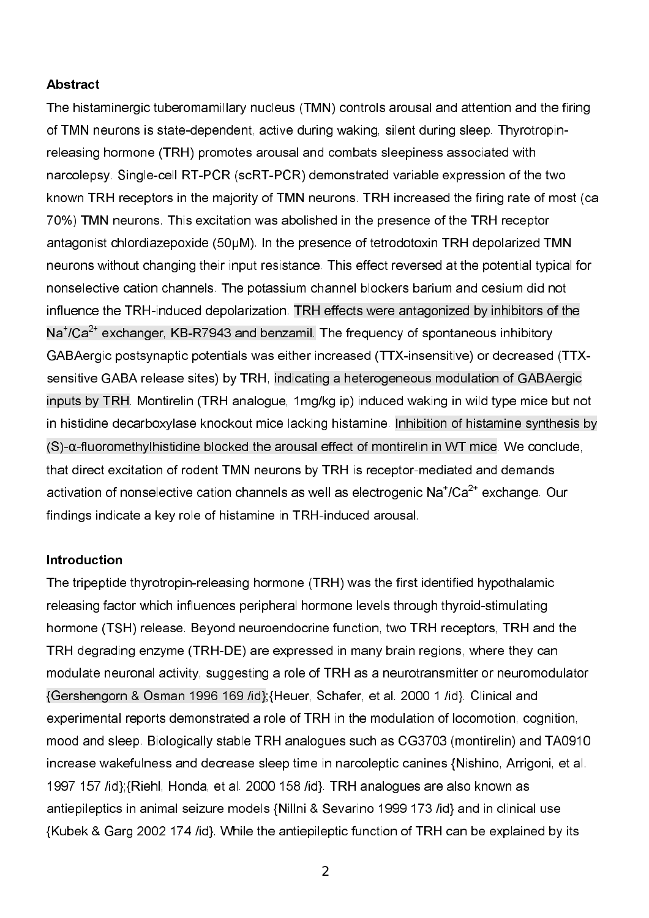## **Abstract**

The histaminergic tuberomamillary nucleus (TMN) controls arousal and attention and the firing of TMN neurons is state-dependent, active during waking, silent during sleep. Thyrotropinreleasing hormone (TRH) promotes arousal and combats sleepiness associated with narcolepsy. Single-cell RT-PCR (scRT-PCR) demonstrated variable expression of the two known TRH receptors in the majority of TMN neurons. TRH increased the firing rate of most (ca 70%) TMN neurons. This excitation was abolished in the presence of the TRH receptor antagonist chlordiazepoxide (50µM). In the presence of tetrodotoxin TRH depolarized TMN neurons without changing their input resistance. This effect reversed at the potential typical for nonselective cation channels. The potassium channel blockers barium and cesium did not influence the TRH-induced depolarization. TRH effects were antagonized by inhibitors of the  $\textsf{Na}^{\textsf{2+}}$  exchanger, KB-R7943 and benzamil. The frequency of spontaneous inhibitory GABAergic postsynaptic potentials was either increased (TTX-insensitive) or decreased (TTXsensitive GABA release sites) by TRH, indicating a heterogeneous modulation of GABAergic inputs by TRH. Montirelin (TRH analogue, 1mg/kg ip) induced waking in wild type mice but not in histidine decarboxylase knockout mice lacking histamine. Inhibition of histamine synthesis by (S)- $\alpha$ -fluoromethylhistidine blocked the arousal effect of montirelin in WT mice. We conclude, that direct excitation of rodent TMN neurons by TRH is receptor-mediated and demands activation of nonselective cation channels as well as electrogenic  $\mathsf{Na}^{\ast}/\mathsf{Ca}^{2\ast}$  exchange. Our findings indicate a key role of histamine in TRH-induced arousal.

#### **Introduction**

The tripeptide thyrotropin-releasing hormone (TRH) was the first identified hypothalamic releasing factor which influences peripheral hormone levels through thyroid-stimulating hormone (TSH) release. Beyond neuroendocrine function, two TRH receptors, TRH and the TRH degrading enzyme (TRH-DE) are expressed in many brain regions, where they can modulate neuronal activity, suggesting a role of TRH as a neurotransmitter or neuromodulator {Gershengorn & Osman 1996 169 /id};{Heuer, Schafer, et al. 2000 1 /id}. Clinical and experimental reports demonstrated a role of TRH in the modulation of locomotion, cognition, mood and sleep. Biologically stable TRH analogues such as CG3703 (montirelin) and TA0910 increase wakefulness and decrease sleep time in narcoleptic canines {Nishino, Arrigoni, et al. 1997 157 /id};{Riehl, Honda, et al. 2000 158 /id}. TRH analogues are also known as antiepileptics in animal seizure models {Nillni & Sevarino 1999 173 /id} and in clinical use {Kubek & Garg 2002 174 /id}. While the antiepileptic function of TRH can be explained by its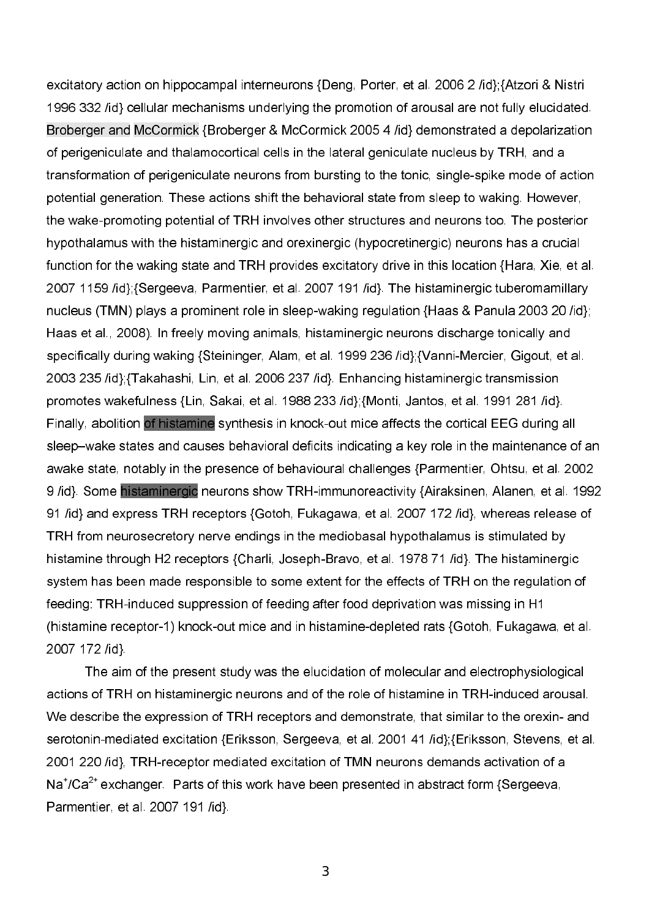excitatory action on hippocampal interneurons {Deng, Porter, et al. 2006 2 /id};{Atzori & Nistri 1996 332 /id} cellular mechanisms underlying the promotion of arousal are not fully elucidated. Broberger and McCormick {Broberger & McCormick 2005 4 /id} demonstrated a depolarization of perigeniculate and thalamocortical cells in the lateral geniculate nucleus by TRH, and a transformation of perigeniculate neurons from bursting to the tonic, single-spike mode of action potential generation. These actions shift the behavioral state from sleep to waking. However, the wake-promoting potential of TRH involves other structures and neurons too. The posterior hypothalamus with the histaminergic and orexinergic (hypocretinergic) neurons has a crucial function for the waking state and TRH provides excitatory drive in this location {Hara, Xie, et al. 2007 1159 /id};{Sergeeva, Parmentier, et al. 2007 191 /id}. The histaminergic tuberomamillary nucleus (TMN) plays a prominent role in sleep-waking regulation {Haas & Panula 2003 20 /id}; Haas et al., 2008). In freely moving animals, histaminergic neurons discharge tonically and specifically during waking {Steininger, Alam, et al. 1999 236 /id};{Vanni-Mercier, Gigout, et al. 2003 235 /id};{Takahashi, Lin, et al. 2006 237 /id}. Enhancing histaminergic transmission promotes wakefulness {Lin, Sakai, et al. 1988 233 /id};{Monti, Jantos, et al. 1991 281 /id}. Finally, abolition of histamine synthesis in knock-out mice affects the cortical EEG during all sleep–wake states and causes behavioral deficits indicating a key role in the maintenance of an awake state, notably in the presence of behavioural challenges {Parmentier, Ohtsu, et al. 2002 9 /id}. Some histaminergic neurons show TRH-immunoreactivity {Airaksinen, Alanen, et al. 1992 91 /id} and express TRH receptors {Gotoh, Fukagawa, et al. 2007 172 /id}, whereas release of TRH from neurosecretory nerve endings in the mediobasal hypothalamus is stimulated by histamine through H2 receptors {Charli, Joseph-Bravo, et al. 1978 71 /id}. The histaminergic system has been made responsible to some extent for the effects of TRH on the regulation of feeding: TRH-induced suppression of feeding after food deprivation was missing in H1 (histamine receptor-1) knock-out mice and in histamine-depleted rats {Gotoh, Fukagawa, et al. 2007 172 /id}.

The aim of the present study was the elucidation of molecular and electrophysiological actions of TRH on histaminergic neurons and of the role of histamine in TRH-induced arousal. We describe the expression of TRH receptors and demonstrate, that similar to the orexin- and serotonin-mediated excitation {Eriksson, Sergeeva, et al. 2001 41 /id}; {Eriksson, Stevens, et al. 2001 220 /id}, TRH-receptor mediated excitation of TMN neurons demands activation of a  $\textsf{Na}^{\textsf{2+}}$ exchanger. Parts of this work have been presented in abstract form {Sergeeva, Parmentier, et al. 2007 191 /id}.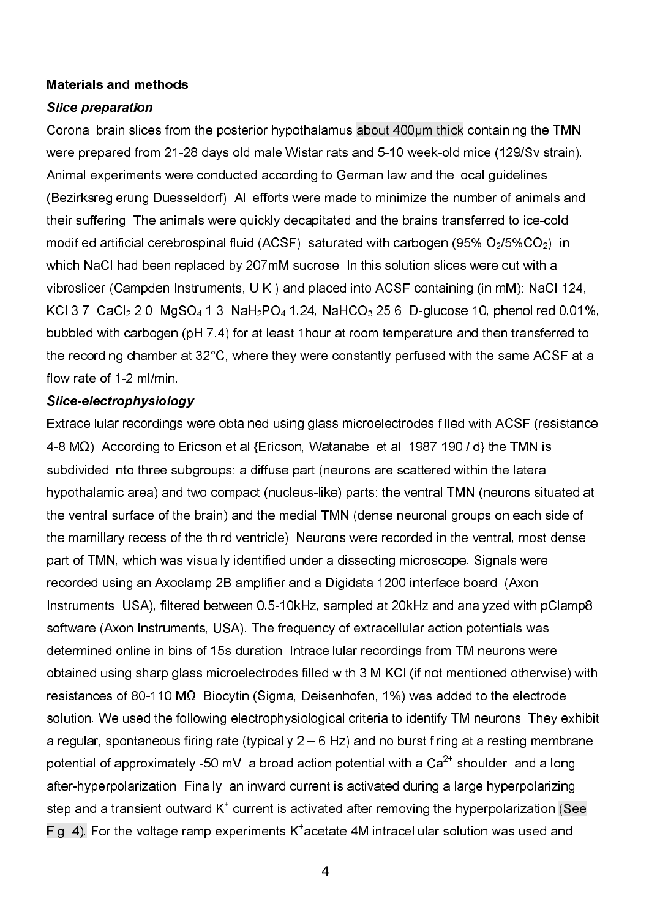## **Materials and methods**

## Slice preparation

Coronal brain slices from the posterior hypothalamus about 400µm thick containing the TMN were prepared from 21-28 days old male Wistar rats and 5-10 week-old mice (129/Sv strain). Animal experiments were conducted according to German law and the local guidelines (Bezirksregierung Duesseldorf). All efforts were made to minimize the number of animals and their suffering. The animals were quickly decapitated and the brains transferred to ice-cold modified artificial cerebrospinal fluid (ACSF), saturated with carbogen (95% O $_2$ /5%CO $_2$ ), in which NaCl had been replaced by 207mM sucrose. In this solution slices were cut with a vibroslicer (Campden Instruments, U.K.) and placed into ACSF containing (in mM): NaCl 124, KCl 3.7, CaCl $_2$  2.0, MgSO $_4$  1.3, NaH $_2$ PO $_4$  1.24, NaHCO $_3$  25.6, D-glucose 10, phenol red 0.01%, bubbled with carbogen (pH 7.4) for at least 1hour at room temperature and then transferred to the recording chamber at 32°C, where they were constantly perfused with the same ACSF at a flow rate of 1-2 ml/min.

## Slice-electrophysiology

Extracellular recordings were obtained using glass microelectrodes filled with ACSF (resistance 48 MΩ). According to Ericson et al {Ericson, Watanabe, et al. 1987 190 /id} the TMN is subdivided into three subgroups: a diffuse part (neurons are scattered within the lateral hypothalamic area) and two compact (nucleus-like) parts: the ventral TMN (neurons situated at the ventral surface of the brain) and the medial TMN (dense neuronal groups on each side of the mamillary recess of the third ventricle). Neurons were recorded in the ventral, most dense part of TMN, which was visually identified under a dissecting microscope. Signals were recorded using an Axoclamp 2B amplifier and a Digidata 1200 interface board (Axon Instruments, USA), filtered between 0.510kHz, sampled at 20kHz and analyzed with pClamp8 software (Axon Instruments, USA). The frequency of extracellular action potentials was determined online in bins of 15s duration. Intracellular recordings from TM neurons were obtained using sharp glass microelectrodes filled with 3 M KCl (if not mentioned otherwise) with resistances of 80-110 M $\Omega$ . Biocytin (Sigma, Deisenhofen, 1%) was added to the electrode solution. We used the following electrophysiological criteria to identify TM neurons. They exhibit a regular, spontaneous firing rate (typically 2 – 6 Hz) and no burst firing at a resting membrane potential of approximately -50 mV, a broad action potential with a Ca $^{2\text{*}}$  shoulder, and a long after-hyperpolarization. Finally, an inward current is activated during a large hyperpolarizing step and a transient outward  $\mathsf{K}^\star$  current is activated after removing the hyperpolarization (See Fig. 4). For the voltage ramp experiments  $K^*$ acetate 4M intracellular solution was used and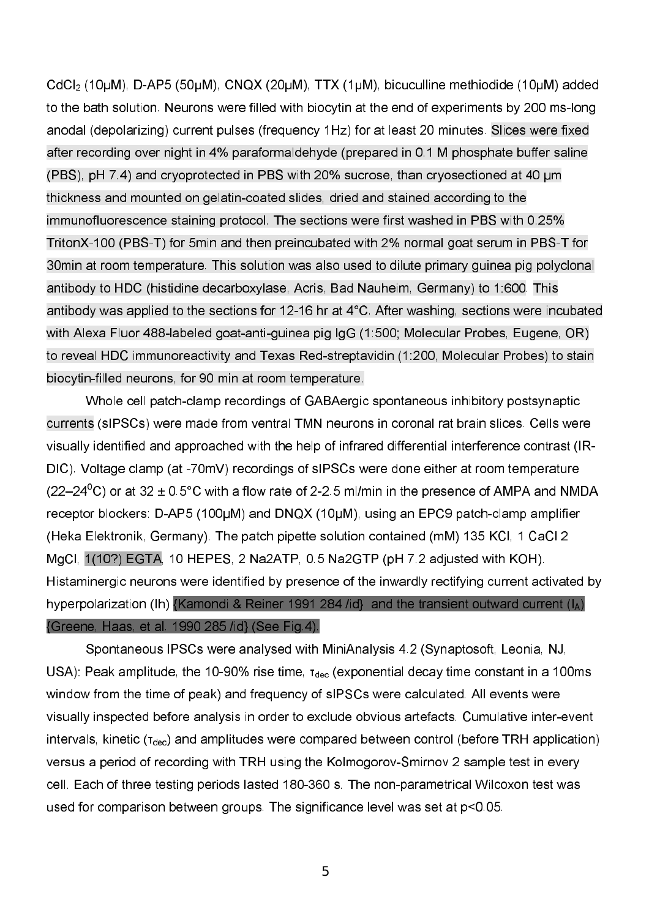$\mathsf{CdCl}_2$  (10µM), D-AP5 (50µM),  $\mathsf{CNQX}$  (20µM), TTX (1µM), bicuculline methiodide (10µM) added i to the bath solution. Neurons were filled with biocytin at the end of experiments by 200 ms-long anodal (depolarizing) current pulses (frequency 1Hz) for at least 20 minutes. Slices were fixed after recording over night in 4% paraformaldehyde (prepared in 0.1 M phosphate buffer saline (PBS),  $pH$  7.4) and cryoprotected in PBS with 20% sucrose, than cryosectioned at 40  $\mu$ m thickness and mounted on gelatin-coated slides, dried and stained according to the immunofluorescence staining protocol. The sections were first washed in PBS with 0.25% TritonX-100 (PBS-T) for 5min and then preincubated with 2% normal goat serum in PBS-T for 30min at room temperature. This solution was also used to dilute primary guinea pig polyclonal antibody to HDC (histidine decarboxylase, Acris, Bad Nauheim, Germany) to 1:600. This antibody was applied to the sections for 12-16 hr at 4°C. After washing, sections were incubated with Alexa Fluor 488-labeled goat-anti-guinea pig IgG (1:500; Molecular Probes, Eugene, OR) to reveal HDC immunoreactivity and Texas Red-streptavidin (1:200, Molecular Probes) to stain biocytin-filled neurons, for 90 min at room temperature.

Whole cell patch-clamp recordings of GABAergic spontaneous inhibitory postsynaptic currents (sIPSCs) were made from ventral TMN neurons in coronal rat brain slices. Cells were visually identified and approached with the help of infrared differential interference contrast (IR DIC). Voltage clamp (at -70mV) recordings of sIPSCs were done either at room temperature (22–24 $\mathrm{^0C}$ ) or at 32 ± 0.5 $\mathrm{^{\circ}C}$  with a flow rate of 2-2.5 ml/min in the presence of AMPA and NMDA receptor blockers:  $D$ -AP5 (100 $\mu$ M) and  $D$ NQX (10 $\mu$ M), using an EPC9 patch-clamp amplifier (Heka Elektronik, Germany). The patch pipette solution contained (mM) 135 KCl, 1 CaCl 2 MgCl, 1(10?) EGTA, 10 HEPES, 2 Na2ATP, 0.5 Na2GTP (pH 7.2 adjusted with KOH). Histaminergic neurons were identified by presence of the inwardly rectifying current activated by hyperpolarization (Ih) [Kamondi & Reiner 1991 284 /id} and the transient outward current (IA) {Greene, Haas, et al. 1990 285 /id} (See Fig.4).

Spontaneous IPSCs were analysed with MiniAnalysis 4.2 (Synaptosoft, Leonia, NJ, USA): Peak amplitude, the 10-90% rise time,  $\tau_\text{dec}$  (exponential decay time constant in a 100ms  $\,$ window from the time of peak) and frequency of sIPSCs were calculated. All events were visually inspected before analysis in order to exclude obvious artefacts. Cumulative inter-event intervals, kinetic (τ<sub>dec</sub>) and amplitudes were compared between control (before TRH application) versus a period of recording with TRH using the Kolmogorov-Smirnov 2 sample test in every cell. Each of three testing periods lasted 180-360 s. The non-parametrical Wilcoxon test was used for comparison between groups. The significance level was set at p<0.05.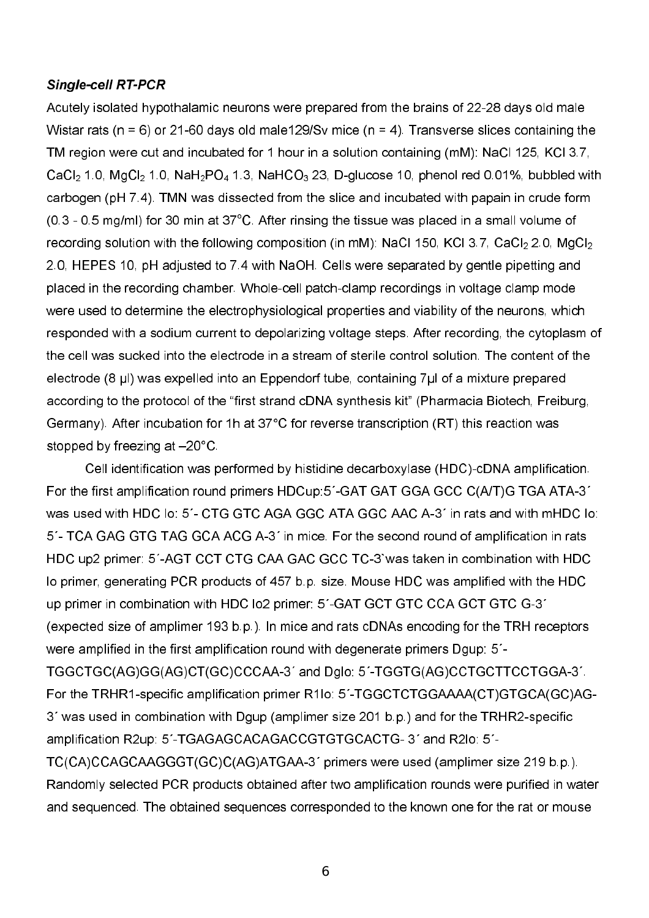## Single-cell RT-PCR

Acutely isolated hypothalamic neurons were prepared from the brains of 22-28 days old male Wistar rats ( $n = 6$ ) or 21-60 days old male129/Sv mice ( $n = 4$ ). Transverse slices containing the TM region were cut and incubated for 1 hour in a solution containing (mM): NaCl 125, KCl 3.7,  $\mathsf{CaCl}_2$  1.0, MgCl $_2$  1.0, NaH $_2$ PO $_4$  1.3, NaHCO $_3$  23, D-glucose 10, phenol red 0.01%, bubbled with carbogen (pH 7.4). TMN was dissected from the slice and incubated with papain in crude form (0.3 - 0.5 mg/ml) for 30 min at 37<sup>°</sup>C. After rinsing the tissue was placed in a small volume of recording solution with the following composition (in mM): NaCl 150, KCl 3.7, CaCl $_2$  2.0, MgCl $_2$ 2.0, HEPES 10, pH adjusted to 7.4 with NaOH. Cells were separated by gentle pipetting and placed in the recording chamber. Whole-cell patch-clamp recordings in voltage clamp mode were used to determine the electrophysiological properties and viability of the neurons, which responded with a sodium current to depolarizing voltage steps. After recording, the cytoplasm of the cell was sucked into the electrode in a stream of sterile control solution. The content of the electrode (8 µl) was expelled into an Eppendorf tube, containing 7µl of a mixture prepared according to the protocol of the "first strand cDNA synthesis kit" (Pharmacia Biotech, Freiburg, Germany). After incubation for 1h at 37°C for reverse transcription (RT) this reaction was stopped by freezing at –20°C.

Cell identification was performed by histidine decarboxylase (HDC)-cDNA amplification. For the first amplification round primers HDCup:5´-GAT GAT GGA GCC C(A/T)G TGA ATA-3<sup>\*</sup> was used with HDC lo: 5<sup>'</sup>- CTG GTC AGA GGC ATA GGC AAC A-3<sup>'</sup> in rats and with mHDC lo: 5<sup>'</sup> TCA GAG GTG TAG GCA ACG A-3<sup>'</sup> in mice. For the second round of amplification in rats HDC up2 primer: 5´-AGT CCT CTG CAA GAC GCC TC-3`was taken in combination with HDC lo primer, generating PCR products of 457 b.p. size. Mouse HDC was amplified with the HDC up primer in combination with HDC lo2 primer: 5´-GAT GCT GTC CCA GCT GTC G-3´ (expected size of amplimer 193 b.p.). In mice and rats cDNAs encoding for the TRH receptors were amplified in the first amplification round with degenerate primers Dgup: 5´ TGGCTGC(AG)GG(AG)CT(GC)CCCAA3´ and Dglo: 5´TGGTG(AG)CCTGCTTCCTGGA3´. For the TRHR1-specific amplification primer R1lo: 5´-TGGCTCTGGAAAA(CT)GTGCA(GC)AG-3<sup>'</sup> was used in combination with Dgup (amplimer size 201 b.p.) and for the TRHR2-specific amplification R2up: 5'-TGAGAGCACAGACCGTGTGCACTG- 3' and R2lo: 5'-TC(CA)CCAGCAAGGGT(GC)C(AG)ATGAA3´ primers were used (amplimer size 219 b.p.). Randomly selected PCR products obtained after two amplification rounds were purified in water and sequenced. The obtained sequences corresponded to the known one for the rat or mouse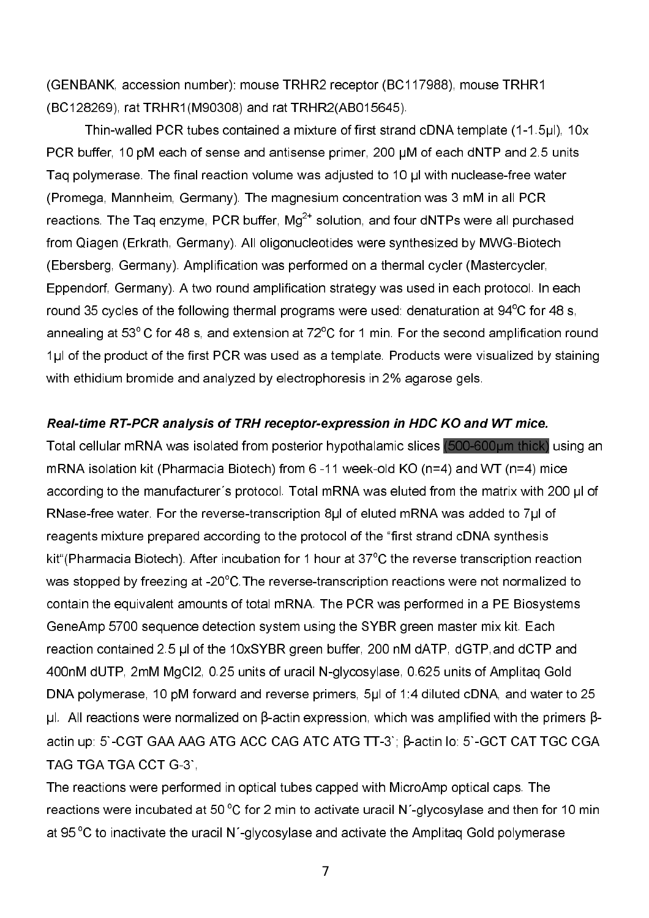(GENBANK, accession number): mouse TRHR2 receptor (BC117988), mouse TRHR1 (BC128269), rat TRHR1(M90308) and rat TRHR2(AB015645).

Thin-walled PCR tubes contained a mixture of first strand cDNA template (1-1.5µl), 10x PCR buffer, 10 pM each of sense and antisense primer, 200 µM of each dNTP and 2.5 units Taq polymerase. The final reaction volume was adjusted to 10  $\mu$ l with nuclease-free water (Promega, Mannheim, Germany). The magnesium concentration was 3 mM in all PCR reactions. The Taq enzyme, PCR buffer, Mg $^{2\texttt{+}}$  solution, and four dNTPs were all purchased from Qiagen (Erkrath, Germany). All oligonucleotides were synthesized by MWG-Biotech (Ebersberg, Germany). Amplification was performed on a thermal cycler (Mastercycler, Eppendorf, Germany). A two round amplification strategy was used in each protocol. In each round 35 cycles of the following thermal programs were used: denaturation at  $94^{\circ}$ C for 48 s, annealing at 53 $^{\circ}$ C for 48 s, and extension at 72 $^{\circ}$ C for 1 min. For the second amplification round 1.l of the product of the first PCR was used as a template. Products were visualized by staining with ethidium bromide and analyzed by electrophoresis in 2% agarose gels.

#### Real-time RT-PCR analysis of TRH receptor-expression in HDC KO and WT mice.

Total cellular mRNA was isolated from posterior hypothalamic slices (500-600µm thick) using an mRNA isolation kit (Pharmacia Biotech) from 6-11 week-old KO ( $n=4$ ) and WT ( $n=4$ ) mice according to the manufacturer's protocol. Total mRNA was eluted from the matrix with 200 µl of RNase-free water. For the reverse-transcription 8 $\mu$  of eluted mRNA was added to 7 $\mu$  of reagents mixture prepared according to the protocol of the "first strand cDNA synthesis kit"(Pharmacia Biotech). After incubation for 1 hour at  $37^{\circ}$ C the reverse transcription reaction was stopped by freezing at -20°C. The reverse-transcription reactions were not normalized to contain the equivalent amounts of total mRNA. The PCR was performed in a PE Biosystems GeneAmp 5700 sequence detection system using the SYBR green master mix kit. Each reaction contained 2.5 µl of the 10xSYBR green buffer, 200 nM dATP, dGTP, and dCTP and 400nM dUTP, 2mM MgCl2, 0.25 units of uracil N-glycosylase, 0.625 units of Amplitaq Gold DNA polymerase, 10 pM forward and reverse primers, 5ul of 1:4 diluted cDNA, and water to 25 μl. All reactions were normalized on β-actin expression, which was amplified with the primers βactin up: 5`-CGT GAA AAG ATG ACC CAG ATC ATG TT-3`;  $\beta$ -actin lo: 5`-GCT CAT TGC CGA TAG TGA TGA CCT G-3`,

The reactions were performed in optical tubes capped with MicroAmp optical caps. The reactions were incubated at 50  $\mathrm{^{\circ}C}$  for 2 min to activate uracil N<sup>-</sup>glycosylase and then for 10 min at 95 $\mathrm{^{\circ}C}$  to inactivate the uracil N´-glycosylase and activate the Amplitaq Gold polymerase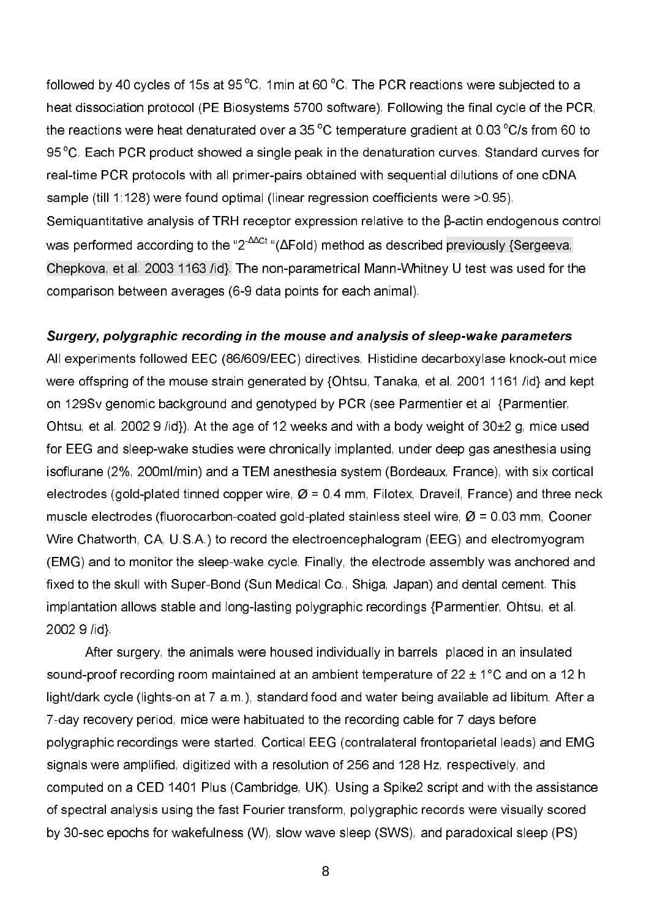followed by 40 cycles of 15s at 95  $^{\circ}$ C, 1min at 60  $^{\circ}$ C. The PCR reactions were subjected to a heat dissociation protocol (PE Biosystems 5700 software). Following the final cycle of the PCR, the reactions were heat denaturated over a 35  $^{\circ}$ C temperature gradient at 0.03  $^{\circ}$ C/s from 60 to 95 °C. Each PCR product showed a single peak in the denaturation curves. Standard curves for real-time PCR protocols with all primer-pairs obtained with sequential dilutions of one cDNA sample (till 1:128) were found optimal (linear regression coefficients were >0.95). Semiquantitative analysis of TRH receptor expression relative to the β-actin endogenous control was performed according to the "2<sup>∆∆Ct</sup> "(∆Fold) method as described previously {Sergeeva, Chepkova, et al. 2003 1163 /id}. The non-parametrical Mann-Whitney U test was used for the comparison between averages (6-9 data points for each animal).

## Surgery, polygraphic recording in the mouse and analysis of sleep-wake parameters

All experiments followed EEC (86/609/EEC) directives. Histidine decarboxylase knock-out mice were offspring of the mouse strain generated by {Ohtsu, Tanaka, et al. 2001 1161 /id} and kept on 129Sv genomic background and genotyped by PCR (see Parmentier et al {Parmentier, Ohtsu, et al. 2002 9 /id}). At the age of 12 weeks and with a body weight of 30±2 g, mice used for EEG and sleep-wake studies were chronically implanted, under deep gas anesthesia using isoflurane (2%, 200ml/min) and a TEM anesthesia system (Bordeaux, France), with six cortical electrodes (gold-plated tinned copper wire,  $Ø = 0.4$  mm, Filotex, Draveil, France) and three neck muscle electrodes (fluorocarbon-coated gold-plated stainless steel wire,  $\varnothing$  = 0.03 mm, Cooner Wire Chatworth, CA, U.S.A.) to record the electroencephalogram (EEG) and electromyogram (EMG) and to monitor the sleep-wake cycle. Finally, the electrode assembly was anchored and fixed to the skull with Super-Bond (Sun Medical Co., Shiga, Japan) and dental cement. This implantation allows stable and long-lasting polygraphic recordings {Parmentier, Ohtsu, et al. 2002 9 /id}.

 After surgery, the animals were housed individually in barrels placed in an insulated sound-proof recording room maintained at an ambient temperature of  $22 \pm 1^{\circ}$ C and on a 12 h light/dark cycle (lights-on at 7 a.m.), standard food and water being available ad libitum. After a 7day recovery period, mice were habituated to the recording cable for 7 days before polygraphic recordings were started. Cortical EEG (contralateral frontoparietal leads) and EMG signals were amplified, digitized with a resolution of 256 and 128 Hz, respectively, and computed on a CED 1401 Plus (Cambridge, UK). Using a Spike2 script and with the assistance of spectral analysis using the fast Fourier transform, polygraphic records were visually scored by 30-sec epochs for wakefulness (W), slow wave sleep (SWS), and paradoxical sleep (PS)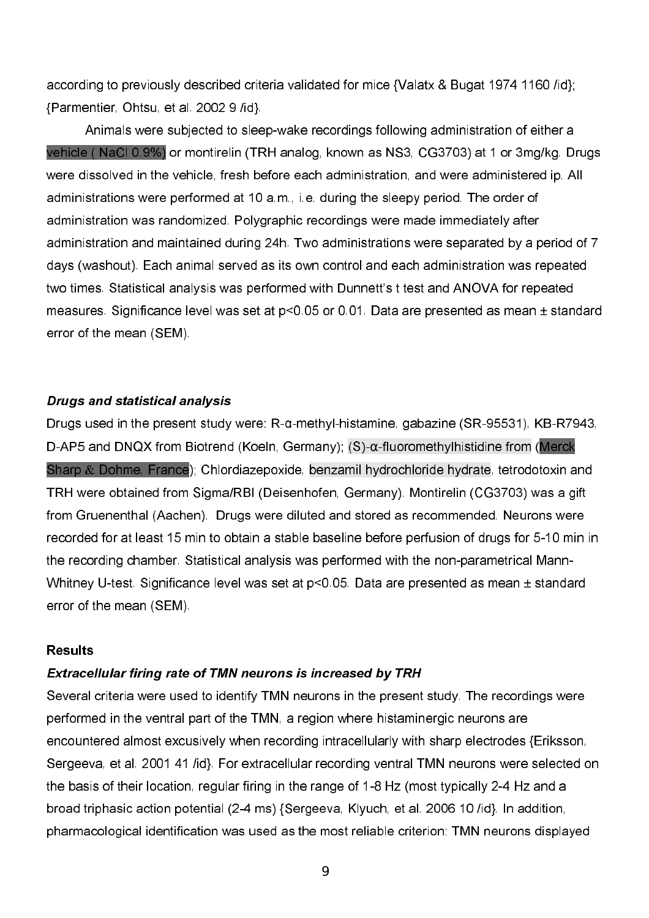according to previously described criteria validated for mice {Valatx & Bugat 1974 1160 /id}; {Parmentier, Ohtsu, et al. 2002 9 /id}.

Animals were subjected to sleep-wake recordings following administration of either a vehicle ( NaCl 0.9%) or montirelin (TRH analog, known as NS3, CG3703) at 1 or 3mg/kg. Drugs were dissolved in the vehicle, fresh before each administration, and were administered ip. All administrations were performed at 10 a.m., i.e. during the sleepy period. The order of administration was randomized. Polygraphic recordings were made immediately after administration and maintained during 24h. Two administrations were separated by a period of 7 days (washout). Each animal served as its own control and each administration was repeated two times. Statistical analysis was performed with Dunnett's t test and ANOVA for repeated measures. Significance level was set at p<0.05 or 0.01. Data are presented as mean ± standard error of the mean (SEM).

#### Drugs and statistical analysis

Drugs used in the present study were: R-α-methyl-histamine, gabazine (SR-95531), KB-R7943, D-AP5 and DNQX from Biotrend (Koeln, Germany);  $(S)$ - $\alpha$ -fluoromethylhistidine from (Merck Sharp & Dohme, France); Chlordiazepoxide, benzamil hydrochloride hydrate, tetrodotoxin and TRH were obtained from Sigma/RBI (Deisenhofen, Germany). Montirelin (CG3703) was a gift from Gruenenthal (Aachen). Drugs were diluted and stored as recommended. Neurons were recorded for at least 15 min to obtain a stable baseline before perfusion of drugs for 510 min in the recording chamber. Statistical analysis was performed with the non-parametrical Mann-Whitney U-test. Significance level was set at  $p<0.05$ . Data are presented as mean  $\pm$  standard error of the mean (SEM).

#### **Results**

## Extracellular firing rate of TMN neurons is increased by TRH

Several criteria were used to identify TMN neurons in the present study. The recordings were performed in the ventral part of the TMN, a region where histaminergic neurons are encountered almost excusively when recording intracellularly with sharp electrodes {Eriksson, Sergeeva, et al. 2001 41 /id}. For extracellular recording ventral TMN neurons were selected on the basis of their location, regular firing in the range of 1-8 Hz (most typically 2-4 Hz and a broad triphasic action potential (24 ms) {Sergeeva, Klyuch, et al. 2006 10 /id}. In addition, pharmacological identification was used as the most reliable criterion: TMN neurons displayed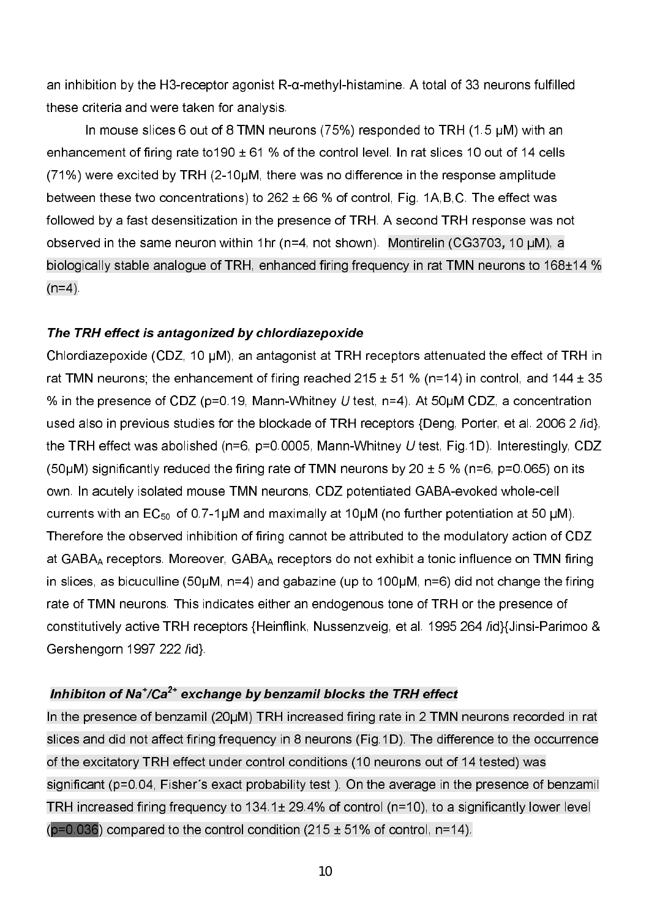an inhibition by the H3-receptor agonist  $R$ - $\alpha$ -methyl-histamine. A total of 33 neurons fulfilled these criteria and were taken for analysis.

In mouse slices 6 out of 8 TMN neurons (75%) responded to TRH (1.5  $\mu$ M) with an enhancement of firing rate to 190  $\pm$  61 % of the control level. In rat slices 10 out of 14 cells  $(71%)$  were excited by TRH  $(2-10\mu M,$  there was no difference in the response amplitude between these two concentrations) to  $262 \pm 66$  % of control, Fig. 1A, B, C. The effect was followed by a fast desensitization in the presence of TRH. A second TRH response was not observed in the same neuron within 1hr ( $n=4$ , not shown). Montirelin (CG3703, 10  $\mu$ M), a biologically stable analogue of TRH, enhanced firing frequency in rat TMN neurons to 168±14 %  $(n=4)$ .

## The TRH effect is antagonized by chlordiazepoxide

Chlordiazepoxide (CDZ, 10 µM), an antagonist at TRH receptors attenuated the effect of TRH in rat TMN neurons; the enhancement of firing reached  $215 \pm 51$  % (n=14) in control, and 144  $\pm 35$ % in the presence of CDZ (p=0.19, Mann-Whitney  $U$  test, n=4). At 50 $\mu$ M CDZ, a concentration used also in previous studies for the blockade of TRH receptors {Deng, Porter, et al. 2006 2 /id}, the TRH effect was abolished (n=6, p=0.0005, Mann-Whitney  $U$  test, Fig.1D). Interestingly, CDZ (50 $\mu$ M) significantly reduced the firing rate of TMN neurons by 20  $\pm$  5 % (n=6, p=0.065) on its own. In acutely isolated mouse TMN neurons, CDZ potentiated GABA-evoked whole-cell currents with an  $EC_{50}$  of 0.7-1 $\mu$ M and maximally at 10 $\mu$ M (no further potentiation at 50  $\mu$ M). Therefore the observed inhibition of firing cannot be attributed to the modulatory action of CDZ at GABA<sub>A</sub> receptors. Moreover, GABA<sub>A</sub> receptors do not exhibit a tonic influence on TMN firing in slices, as bicuculline (50 $\mu$ M, n=4) and gabazine (up to 100 $\mu$ M, n=6) did not change the firing rate of TMN neurons. This indicates either an endogenous tone of TRH or the presence of constitutively active TRH receptors {Heinflink, Nussenzveig, et al. 1995 264 /id}{Jinsi-Parimoo & Gershengorn 1997 222 /id}.

# Inhibiton of Na<sup>+</sup>/Ca<sup>2+</sup> exchange by benzamil blocks the TRH effect

In the presence of benzamil (20µM) TRH increased firing rate in 2 TMN neurons recorded in rat slices and did not affect firing frequency in 8 neurons (Fig.1D). The difference to the occurrence of the excitatory TRH effect under control conditions (10 neurons out of 14 tested) was significant (p=0.04, Fisher´s exact probability test ). On the average in the presence of benzamil TRH increased firing frequency to 134.1± 29.4% of control (n=10), to a significantly lower level  $(p=0.036)$  compared to the control condition (215  $\pm$  51% of control, n=14).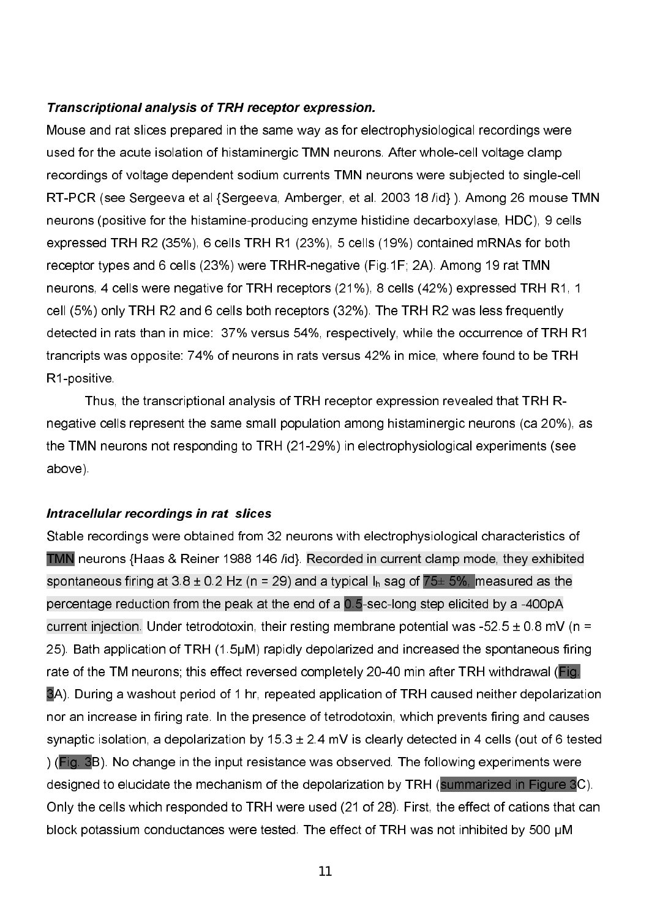## **Transcriptional analysis of TRH receptor expression.**

Mouse and rat slices prepared in the same way as for electrophysiological recordings were used for the acute isolation of histaminergic TMN neurons. After whole-cell voltage clamp recordings of voltage dependent sodium currents TMN neurons were subjected to single-cell RT-PCR (see Sergeeva et al {Sergeeva, Amberger, et al. 2003 18 /id}). Among 26 mouse TMN neurons (positive for the histamine-producing enzyme histidine decarboxylase, HDC), 9 cells expressed TRH R2 (35%), 6 cells TRH R1 (23%), 5 cells (19%) contained mRNAs for both receptor types and 6 cells (23%) were TRHR-negative (Fig.1F; 2A). Among 19 rat TMN neurons, 4 cells were negative for TRH receptors (21%), 8 cells (42%) expressed TRH R1, 1 cell (5%) only TRH R2 and 6 cells both receptors (32%). The TRH R2 was less frequently detected in rats than in mice: 37% versus 54%, respectively, while the occurrence of TRH R1 trancripts was opposite: 74% of neurons in rats versus 42% in mice, where found to be TRH R1-positive.

Thus, the transcriptional analysis of TRH receptor expression revealed that TRH R negative cells represent the same small population among histaminergic neurons (ca 20%), as the TMN neurons not responding to TRH (2129%) in electrophysiological experiments (see above).

## Intracellular recordings in rat slices

Stable recordings were obtained from 32 neurons with electrophysiological characteristics of TMN neurons {Haas & Reiner 1988 146 /id}. Recorded in current clamp mode, they exhibited spontaneous firing at 3.8 ± 0.2 Hz (n = 29) and a typical I<sub>h</sub> sag of  $75\pm 5$ %, <mark>measured as the</mark> percentage reduction from the peak at the end of a  $0.5$ -sec-long step elicited by a -400pA current injection. Under tetrodotoxin, their resting membrane potential was -52.5  $\pm$  0.8 mV (n = 25). Bath application of TRH (1.5µM) rapidly depolarized and increased the spontaneous firing rate of the TM neurons; this effect reversed completely 20-40 min after TRH withdrawal (Fig. 3A). During a washout period of 1 hr, repeated application of TRH caused neither depolarization nor an increase in firing rate. In the presence of tetrodotoxin, which prevents firing and causes synaptic isolation, a depolarization by  $15.3 \pm 2.4$  mV is clearly detected in 4 cells (out of 6 tested ) (Fig. 3B). No change in the input resistance was observed. The following experiments were designed to elucidate the mechanism of the depolarization by TRH (summarized in Figure 3C). Only the cells which responded to TRH were used (21 of 28). First, the effect of cations that can block potassium conductances were tested. The effect of TRH was not inhibited by 500 uM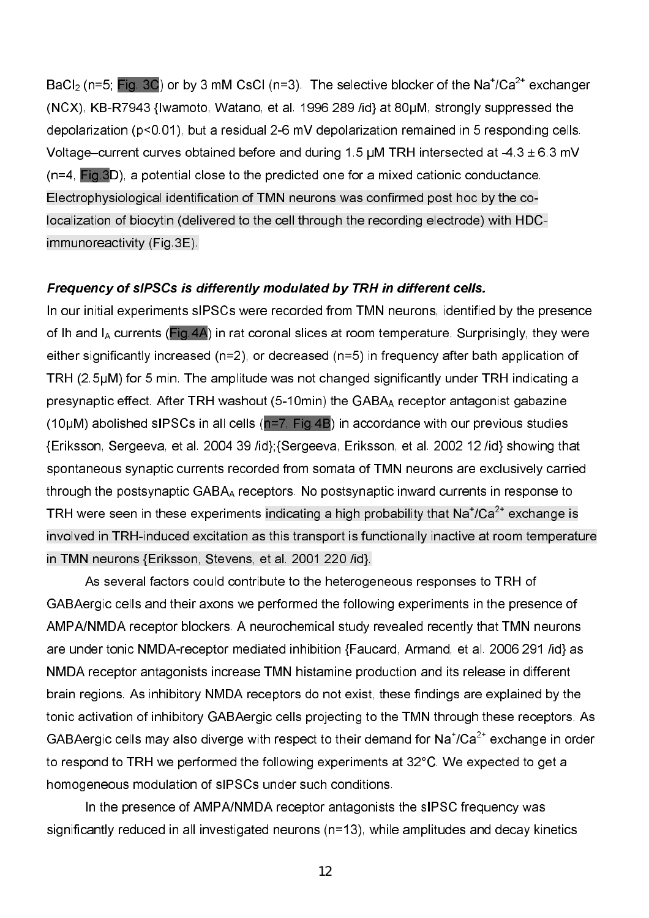BaCl<sub>2</sub> (n=5; Fig. 3C) or by 3 mM CsCl (n=3). The selective blocker of the Na<sup>+</sup>/Ca<sup>2+</sup> exchanger  $(NCX)$ , KB-R7943 {Iwamoto, Watano, et al. 1996 289 /id} at 80 $\mu$ M, strongly suppressed the depolarization (p<0.01), but a residual 2-6 mV depolarization remained in 5 responding cells. Voltage–current curves obtained before and during 1.5  $\mu$ M TRH intersected at -4.3  $\pm$  6.3 mV (n=4, Fig.3D), a potential close to the predicted one for a mixed cationic conductance. Electrophysiological identification of TMN neurons was confirmed post hoc by the co localization of biocytin (delivered to the cell through the recording electrode) with HDC immunoreactivity (Fig.3E).

### Frequency of slPSCs is differently modulated by TRH in different cells.

In our initial experiments sIPSCs were recorded from TMN neurons, identified by the presence of Ih and  $I_A$  currents (Fig.4A) in rat coronal slices at room temperature. Surprisingly, they were either significantly increased (n=2), or decreased (n=5) in frequency after bath application of TRH (2.5µM) for 5 min. The amplitude was not changed significantly under TRH indicating a presynaptic effect. After TRH washout (5-10min) the GABA receptor antagonist gabazine (10 $\mu$ M) abolished sIPSCs in all cells (n=7, Fig.4B) in accordance with our previous studies {Eriksson, Sergeeva, et al. 2004 39 /id};{Sergeeva, Eriksson, et al. 2002 12 /id} showing that spontaneous synaptic currents recorded from somata of TMN neurons are exclusively carried through the postsynaptic GABA<sub>A</sub> receptors. No postsynaptic inward currents in response to TRH were seen in these experiments indicating a high probability that  $\mathsf{Na}^{\mathsf{2+}}$  exchange is involved in TRH-induced excitation as this transport is functionally inactive at room temperature in TMN neurons {Eriksson, Stevens, et al. 2001 220 /id}.

 As several factors could contribute to the heterogeneous responses to TRH of GABAergic cells and their axons we performed the following experiments in the presence of AMPA/NMDA receptor blockers. A neurochemical study revealed recently that TMN neurons are under tonic NMDA-receptor mediated inhibition {Faucard, Armand, et al. 2006 291 /id} as NMDA receptor antagonists increase TMN histamine production and its release in different brain regions. As inhibitory NMDA receptors do not exist, these findings are explained by the tonic activation of inhibitory GABAergic cells projecting to the TMN through these receptors. As GABAergic cells may also diverge with respect to their demand for  $\text{Na}^{\text{2+}}$  exchange in order to respond to TRH we performed the following experiments at 32°C. We expected to get a homogeneous modulation of sIPSCs under such conditions.

In the presence of AMPA/NMDA receptor antagonists the sIPSC frequency was significantly reduced in all investigated neurons (n=13), while amplitudes and decay kinetics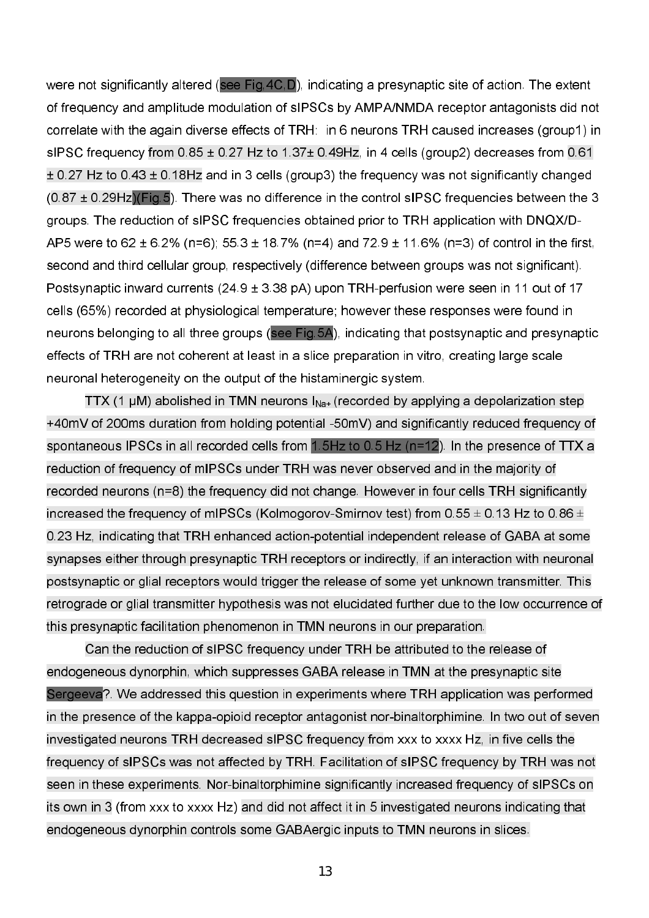were not significantly altered (see Fig, 4C, D), indicating a presynaptic site of action. The extent of frequency and amplitude modulation of sIPSCs by AMPA/NMDA receptor antagonists did not correlate with the again diverse effects of TRH: in 6 neurons TRH caused increases (group1) in sIPSC frequency from 0.85 ± 0.27 Hz to 1.37± 0.49Hz, in 4 cells (group2) decreases from 0.61 ± 0.27 Hz to 0.43 ± 0.18Hz and in 3 cells (group3) the frequency was not significantly changed  $(0.87 \pm 0.29$ Hz $\overline{C}$ (Fig.5). There was no difference in the control sIPSC frequencies between the 3 groups. The reduction of sIPSC frequencies obtained prior to TRH application with DNQX/D AP5 were to 62 ± 6.2% (n=6); 55.3 ± 18.7% (n=4) and 72.9 ± 11.6% (n=3) of control in the first, second and third cellular group, respectively (difference between groups was not significant). Postsynaptic inward currents ( $24.9 \pm 3.38$  pA) upon TRH-perfusion were seen in 11 out of 17 cells (65%) recorded at physiological temperature; however these responses were found in neurons belonging to all three groups (see Fig.5A), indicating that postsynaptic and presynaptic effects of TRH are not coherent at least in a slice preparation in vitro, creating large scale neuronal heterogeneity on the output of the histaminergic system.

TTX (1  $\mu$ M) abolished in TMN neurons  $I_{\text{Na+}}$  (recorded by applying a depolarization step +40mV of 200ms duration from holding potential 50mV) and significantly reduced frequency of spontaneous IPSCs in all recorded cells from 1.5Hz to 0.5 Hz (n=12). In the presence of TTX a reduction of frequency of mIPSCs under TRH was never observed and in the majority of recorded neurons (n=8) the frequency did not change. However in four cells TRH significantly increased the frequency of mIPSCs (Kolmogorov-Smirnov test) from 0.55  $\pm$  0.13 Hz to 0.86  $\pm$ 0.23 Hz, indicating that TRH enhanced action-potential independent release of GABA at some synapses either through presynaptic TRH receptors or indirectly, if an interaction with neuronal postsynaptic or glial receptors would trigger the release of some yet unknown transmitter. This retrograde or glial transmitter hypothesis was not elucidated further due to the low occurrence of this presynaptic facilitation phenomenon in TMN neurons in our preparation.

Can the reduction of sIPSC frequency under TRH be attributed to the release of endogeneous dynorphin, which suppresses GABA release in TMN at the presynaptic site Sergeeva?. We addressed this question in experiments where TRH application was performed in the presence of the kappa-opioid receptor antagonist nor-binaltorphimine. In two out of seven investigated neurons TRH decreased sIPSC frequency from xxx to xxxx Hz, in five cells the frequency of sIPSCs was not affected by TRH. Facilitation of sIPSC frequency by TRH was not seen in these experiments. Nor-binaltorphimine significantly increased frequency of sIPSCs on its own in 3 (from xxx to xxxx Hz) and did not affect it in 5 investigated neurons indicating that endogeneous dynorphin controls some GABAergic inputs to TMN neurons in slices.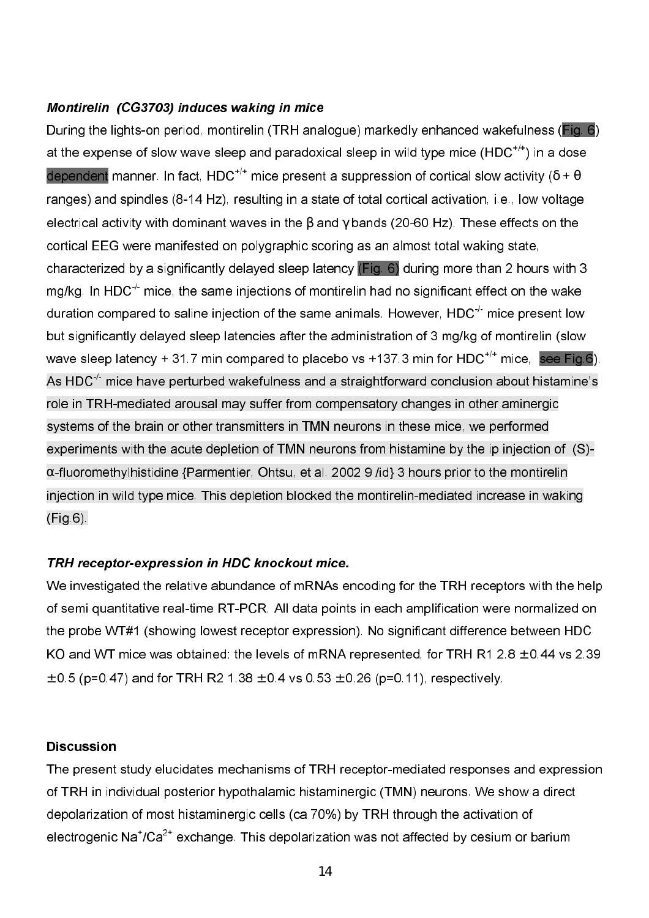## Montirelin (CG3703) induces waking in mice

During the lights-on period, montirelin (TRH analogue) markedly enhanced wakefulness (Fig. 6) at the expense of slow wave sleep and paradoxical sleep in wild type mice  $(HDC^{+/})$  in a dose dependent manner. In fact, HDC<sup>+/+</sup> mice present a suppression of cortical slow activity ( $\delta$  +  $\theta$ ) ranges) and spindles (8-14 Hz), resulting in a state of total cortical activation, i.e., low voltage electrical activity with dominant waves in the  $\beta$  and  $\gamma$  bands (20-60 Hz). These effects on the cortical EEG were manifested on polygraphic scoring as an almost total waking state, characterized by a significantly delayed sleep latency (Fig. 6) during more than 2 hours with 3 mg/kg. In HDC $^{\prime}$  mice, the same injections of montirelin had no significant effect on the wake duration compared to saline injection of the same animals. However,  $HDC<sup>-/-</sup>$  mice present low but significantly delayed sleep latencies after the administration of 3 mg/kg of montirelin (slow wave sleep latency + 31.7 min compared to placebo vs +137.3 min for HDC<sup>+/+</sup> mice, see Fig.6). As HDC $^+$  mice have perturbed wakefulness and a straightforward conclusion about histamine's role in TRH-mediated arousal may suffer from compensatory changes in other aminergic systems of the brain or other transmitters in TMN neurons in these mice, we performed experiments with the acute depletion of TMN neurons from histamine by the ip injection of (S)- $\alpha$ -fluoromethylhistidine {Parmentier, Ohtsu, et al. 2002 9 /id} 3 hours prior to the montirelin injection in wild type mice. This depletion blocked the montirelin-mediated increase in waking (Fig.6).

## TRH receptor-expression in HDC knockout mice.

We investigated the relative abundance of mRNAs encoding for the TRH receptors with the help of semi quantitative real-time RT-PCR. All data points in each amplification were normalized on the probe WT#1 (showing lowest receptor expression). No significant difference between HDC KO and WT mice was obtained: the levels of mRNA represented, for TRH R1  $2.8 \pm 0.44$  vs 2.39  $\pm$  0.5 (p=0.47) and for TRH R2 1.38  $\pm$  0.4 vs 0.53  $\pm$  0.26 (p=0.11), respectively.

#### **Discussion**

The present study elucidates mechanisms of TRH receptor-mediated responses and expression of TRH in individual posterior hypothalamic histaminergic (TMN) neurons. We show a direct depolarization of most histaminergic cells (ca 70%) by TRH through the activation of electrogenic  $\mathsf{Na}^{\mathsf{t}}/\mathsf{Ca}^{2\mathsf{t}}$  exchange. This depolarization was not affected by cesium or barium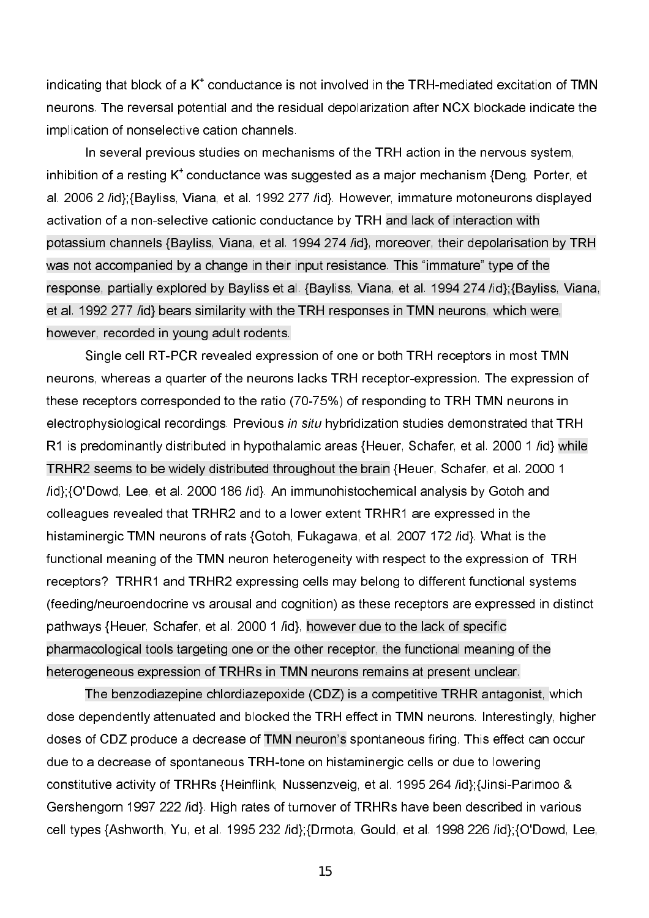indicating that block of a  $K^*$  conductance is not involved in the TRH-mediated excitation of TMN neurons. The reversal potential and the residual depolarization after NCX blockade indicate the implication of nonselective cation channels.

 In several previous studies on mechanisms of the TRH action in the nervous system, inhibition of a resting  $K^*$  conductance was suggested as a major mechanism {Deng, Porter, et al. 2006 2 /id};{Bayliss, Viana, et al. 1992 277 /id}. However, immature motoneurons displayed activation of a nonselective cationic conductance by TRH and lack of interaction with potassium channels {Bayliss, Viana, et al. 1994 274 /id}, moreover, their depolarisation by TRH was not accompanied by a change in their input resistance. This "immature" type of the response, partially explored by Bayliss et al. {Bayliss, Viana, et al. 1994 274 /id};{Bayliss, Viana, et al. 1992 277 /id} bears similarity with the TRH responses in TMN neurons, which were, however, recorded in young adult rodents.

Single cell RT-PCR revealed expression of one or both TRH receptors in most TMN neurons, whereas a quarter of the neurons lacks TRH receptor-expression. The expression of these receptors corresponded to the ratio (70-75%) of responding to TRH TMN neurons in electrophysiological recordings. Previous in situ hybridization studies demonstrated that TRH R1 is predominantly distributed in hypothalamic areas {Heuer, Schafer, et al. 2000 1 /id} while TRHR2 seems to be widely distributed throughout the brain {Heuer, Schafer, et al. 2000 1 /id};{O'Dowd, Lee, et al. 2000 186 /id}. An immunohistochemical analysis by Gotoh and colleagues revealed that TRHR2 and to a lower extent TRHR1 are expressed in the histaminergic TMN neurons of rats {Gotoh, Fukagawa, et al. 2007 172 /id}. What is the functional meaning of the TMN neuron heterogeneity with respect to the expression of TRH receptors? TRHR1 and TRHR2 expressing cells may belong to different functional systems (feeding/neuroendocrine vs arousal and cognition) as these receptors are expressed in distinct pathways {Heuer, Schafer, et al. 2000 1 /id}, however due to the lack of specific pharmacological tools targeting one or the other receptor, the functional meaning of the heterogeneous expression of TRHRs in TMN neurons remains at present unclear.

 The benzodiazepine chlordiazepoxide (CDZ) is a competitive TRHR antagonist, which dose dependently attenuated and blocked the TRH effect in TMN neurons. Interestingly, higher doses of CDZ produce a decrease of TMN neuron's spontaneous firing. This effect can occur due to a decrease of spontaneous TRH-tone on histaminergic cells or due to lowering constitutive activity of TRHRs {Heinflink, Nussenzveig, et al. 1995 264 /id};{Jinsi-Parimoo & Gershengorn 1997 222 /id}. High rates of turnover of TRHRs have been described in various cell types {Ashworth, Yu, et al. 1995 232 /id};{Drmota, Gould, et al. 1998 226 /id};{O'Dowd, Lee,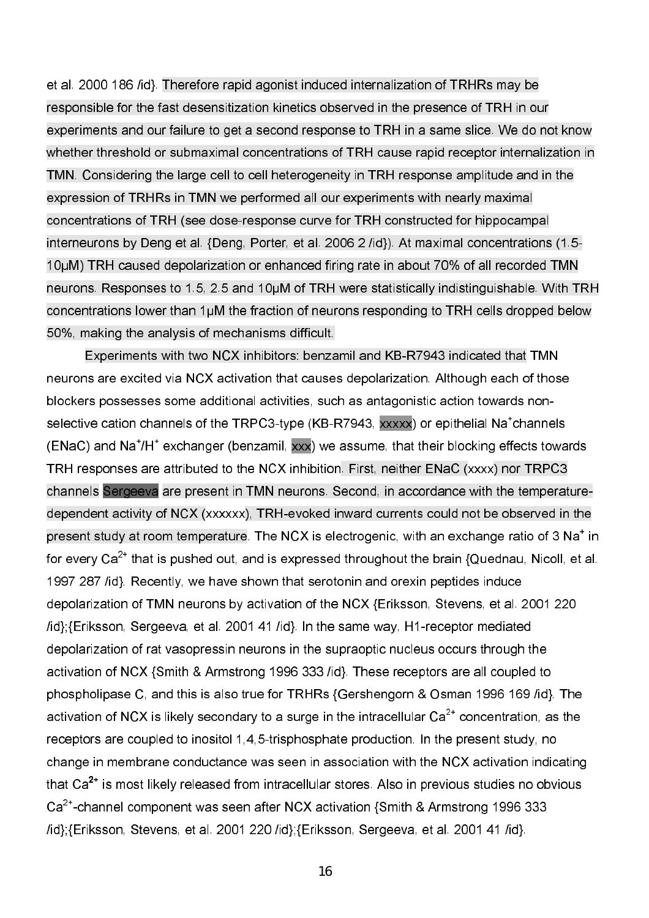et al. 2000 186 /id}. Therefore rapid agonist induced internalization of TRHRs may be responsible for the fast desensitization kinetics observed in the presence of TRH in our experiments and our failure to get a second response to TRH in a same slice. We do not know whether threshold or submaximal concentrations of TRH cause rapid receptor internalization in TMN. Considering the large cell to cell heterogeneity in TRH response amplitude and in the expression of TRHRs in TMN we performed all our experiments with nearly maximal concentrations of TRH (see dose-response curve for TRH constructed for hippocampal interneurons by Deng et al. {Deng, Porter, et al. 2006 2 /id}). At maximal concentrations (1.5-10µM) TRH caused depolarization or enhanced firing rate in about 70% of all recorded TMN neurons. Responses to 1.5, 2.5 and 10µM of TRH were statistically indistinguishable. With TRH concentrations lower than 1µM the fraction of neurons responding to TRH cells dropped below 50%, making the analysis of mechanisms difficult.

Experiments with two NCX inhibitors: benzamil and KB-R7943 indicated that TMN neurons are excited via NCX activation that causes depolarization. Although each of those blockers possesses some additional activities, such as antagonistic action towards non selective cation channels of the TRPC3-type (KB-R7943, xxxxx) or epithelial Na<sup>+</sup>channels (ENaC) and Na<sup>+</sup>/H<sup>+</sup> exchanger (benzamil, xxx) we assume, that their blocking effects towards TRH responses are attributed to the NCX inhibition. First, neither ENaC (xxxx) nor TRPC3 channels Sergeeva are present in TMN neurons. Second, in accordance with the temperature dependent activity of NCX (xxxxxx), TRH-evoked inward currents could not be observed in the present study at room temperature. The NCX is electrogenic, with an exchange ratio of 3  $\mathsf{Na}^*$  in for every Ca $^{2\ast}$  that is pushed out, and is expressed throughout the brain {Quednau, Nicoll, et al. 1997 287 /id}. Recently, we have shown that serotonin and orexin peptides induce depolarization of TMN neurons by activation of the NCX {Eriksson, Stevens, et al. 2001 220 /id};{Eriksson, Sergeeva, et al. 2001 41 /id}. In the same way, H1-receptor mediated depolarization of rat vasopressin neurons in the supraoptic nucleus occurs through the activation of NCX {Smith & Armstrong 1996 333 /id}. These receptors are all coupled to phospholipase C, and this is also true for TRHRs {Gershengorn & Osman 1996 169 /id}. The activation of NCX is likely secondary to a surge in the intracellular Ca $^{2\text{+}}$  concentration, as the receptors are coupled to inositol 1,4,5-trisphosphate production. In the present study, no change in membrane conductance was seen in association with the NCX activation indicating that Ca $^{2+}$  is most likely released from intracellular stores. Also in previous studies no obvious  $\text{Ca}^{2+}$ -channel component was seen after NCX activation {Smith & Armstrong 1996 333 /id};{Eriksson, Stevens, et al. 2001 220 /id};{Eriksson, Sergeeva, et al. 2001 41 /id}.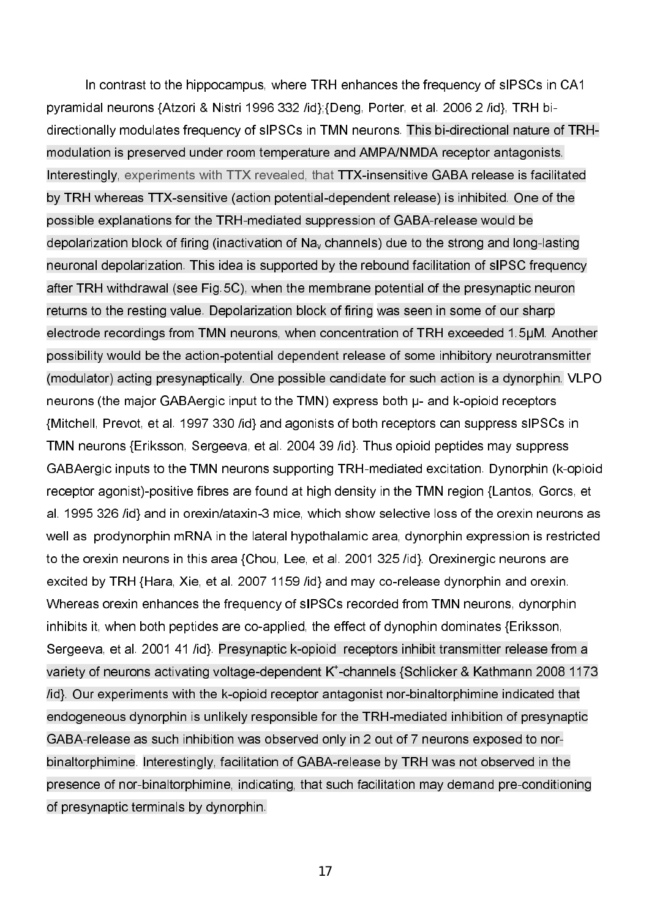In contrast to the hippocampus, where TRH enhances the frequency of sIPSCs in CA1 pyramidal neurons {Atzori & Nistri 1996 332 /id};{Deng, Porter, et al. 2006 2 /id}, TRH bi directionally modulates frequency of sIPSCs in TMN neurons. This bi-directional nature of TRHmodulation is preserved under room temperature and AMPA/NMDA receptor antagonists. Interestingly, experiments with TTX revealed, that TTX-insensitive GABA release is facilitated by TRH whereas TTX-sensitive (action potential-dependent release) is inhibited. One of the possible explanations for the TRH-mediated suppression of GABA-release would be depolarization block of firing (inactivation of  $Na<sub>v</sub>$  channels) due to the strong and long-lasting neuronal depolarization. This idea is supported by the rebound facilitation of sIPSC frequency after TRH withdrawal (see Fig.5C), when the membrane potential of the presynaptic neuron returns to the resting value. Depolarization block of firing was seen in some of our sharp electrode recordings from TMN neurons, when concentration of TRH exceeded 1.5µM. Another possibility would be the action-potential dependent release of some inhibitory neurotransmitter (modulator) acting presynaptically. One possible candidate for such action is a dynorphin. VLPO neurons (the major GABAergic input to the TMN) express both  $\mu$ - and k-opioid receptors {Mitchell, Prevot, et al. 1997 330 /id} and agonists of both receptors can suppress sIPSCs in TMN neurons {Eriksson, Sergeeva, et al. 2004 39 /id}. Thus opioid peptides may suppress GABAergic inputs to the TMN neurons supporting TRH-mediated excitation. Dynorphin (k-opioid receptor agonist)-positive fibres are found at high density in the TMN region {Lantos, Gorcs, et al. 1995 326 /id} and in orexin/ataxin-3 mice, which show selective loss of the orexin neurons as well as prodynorphin mRNA in the lateral hypothalamic area, dynorphin expression is restricted to the orexin neurons in this area {Chou, Lee, et al. 2001 325 /id}. Orexinergic neurons are excited by TRH {Hara, Xie, et al. 2007 1159 /id} and may co-release dynorphin and orexin. Whereas orexin enhances the frequency of sIPSCs recorded from TMN neurons, dynorphin inhibits it, when both peptides are co-applied, the effect of dynophin dominates {Eriksson, Sergeeva, et al. 2001 41 /id}. Presynaptic k-opioid receptors inhibit transmitter release from a variety of neurons activating voltage-dependent K<sup>+</sup>-channels {Schlicker & Kathmann 2008 1173 /id}. Our experiments with the k-opioid receptor antagonist nor-binaltorphimine indicated that endogeneous dynorphin is unlikely responsible for the TRH-mediated inhibition of presynaptic GABA-release as such inhibition was observed only in 2 out of 7 neurons exposed to norbinaltorphimine. Interestingly, facilitation of GABA-release by TRH was not observed in the presence of nor-binaltorphimine, indicating, that such facilitation may demand pre-conditioning of presynaptic terminals by dynorphin.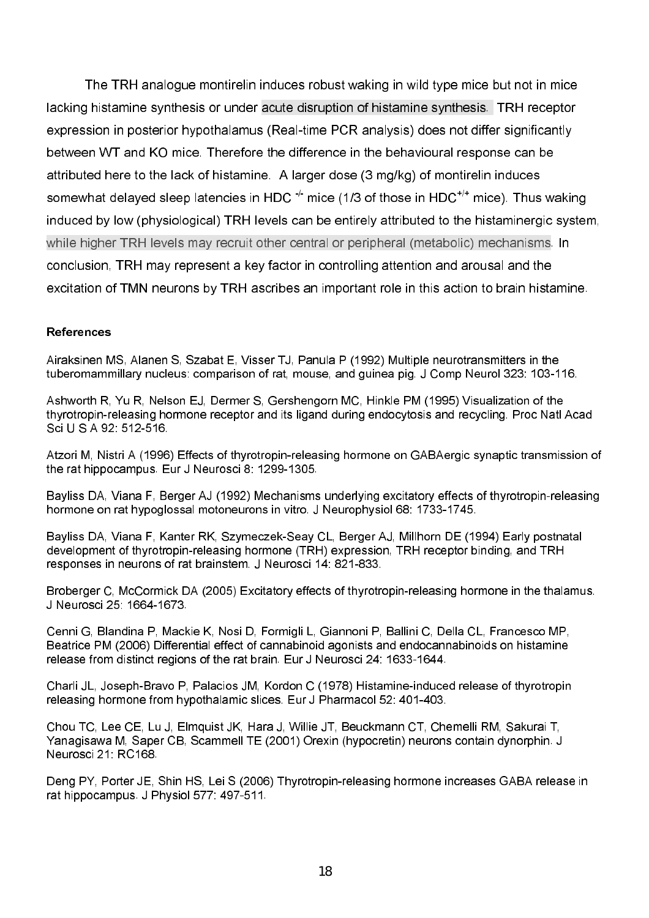The TRH analogue montirelin induces robust waking in wild type mice but not in mice lacking histamine synthesis or under acute disruption of histamine synthesis. TRH receptor expression in posterior hypothalamus (Real-time PCR analysis) does not differ significantly between WT and KO mice. Therefore the difference in the behavioural response can be attributed here to the lack of histamine. A larger dose (3 mg/kg) of montirelin induces somewhat delaved sleep latencies in HDC  $\pm$  mice (1/3 of those in HDC<sup> $+$ </sup> mice). Thus waking induced by low (physiological) TRH levels can be entirely attributed to the histaminergic system. while higher TRH levels may recruit other central or peripheral (metabolic) mechanisms. In conclusion. TRH may represent a key factor in controlling attention and arousal and the excitation of TMN neurons by TRH ascribes an important role in this action to brain histamine.

#### **References**

Airaksinen MS, Alanen S, Szabat E, Visser TJ, Panula P (1992) Multiple neurotransmitters in the tuberomammillary nucleus: comparison of rat, mouse, and guinea pig. J Comp Neurol 323: 103-116.

Ashworth R. Yu R. Nelson EJ. Dermer S. Gershengorn MC. Hinkle PM (1995) Visualization of the thyrotropin-releasing hormone receptor and its ligand during endocytosis and recycling. Proc Natl Acad Sci U S A 92 512-516

Atzori M, Nistri A (1996) Effects of thyrotropin-releasing hormone on GABAergic synaptic transmission of the rat hippocampus. Eur J Neurosci 8: 1299-1305.

Bayliss DA. Viana F. Berger AJ (1992) Mechanisms underlying excitatory effects of thyrotropin-releasing hormone on rat hypoglossal motoneurons in vitro. J Neurophysiol 68: 1733-1745.

Bayliss DA, Viana F, Kanter RK, Szymeczek-Seav CL, Berger AJ, Millhorn DE (1994) Early postnatal development of thyrotropin-releasing hormone (TRH) expression. TRH receptor binding, and TRH responses in neurons of rat brainstem. J Neurosci 14: 821-833.

Broberaer C. McCormick DA (2005) Excitatory effects of thyrotropin-releasing hormone in the thalamus. J Neurosci 25, 1664-1673.

Cenni G. Blandina P, Mackie K, Nosi D, Formigli L, Giannoni P, Ballini C, Della CL, Francesco MP, Beatrice PM (2006) Differential effect of cannabinoid agonists and endocannabinoids on histamine release from distinct regions of the rat brain. Eur J Neurosci 24: 1633-1644.

Charli JL, Joseph-Bravo P, Palacios JM, Kordon C (1978) Histamine-induced release of thyrotropin releasing hormone from hypothalamic slices. Eur J Pharmacol 52: 401-403.

Chou TC, Lee CE, Lu J, Elmquist JK, Hara J, Willie JT, Beuckmann CT, Chemelli RM, Sakurai T, Yanagisawa M, Saper CB, Scammell TE (2001) Orexin (hypocretin) neurons contain dynorphin. J Neurosci 21: RC168

Deng PY, Porter JE, Shin HS, Lei S (2006) Thyrotropin-releasing hormone increases GABA release in rat hippocampus. J Physiol 577: 497-511.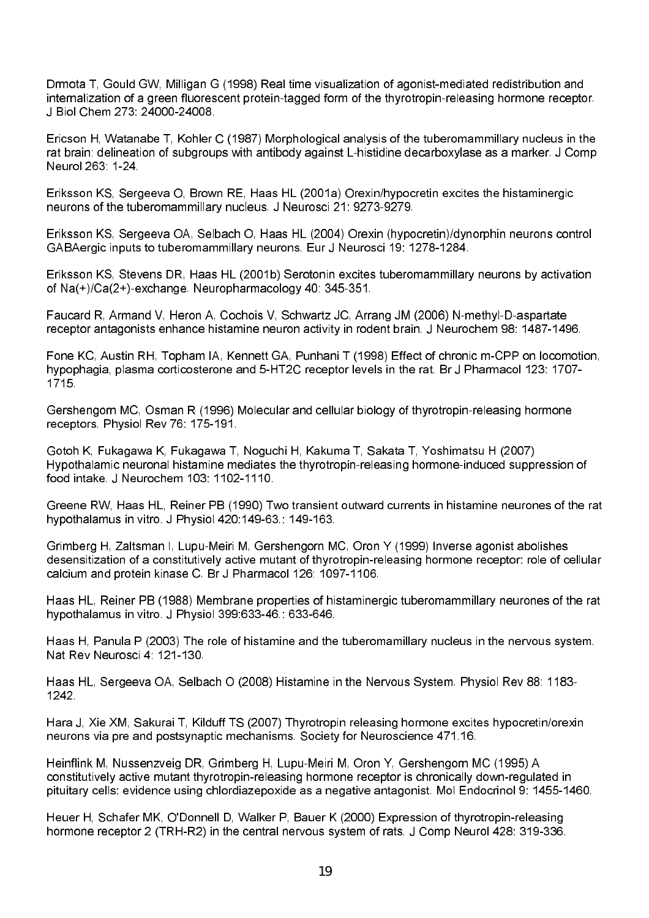Drmota T, Gould GW, Milligan G (1998) Real time visualization of agonist-mediated redistribution and internalization of a green fluorescent protein-tagged form of the thyrotropin-releasing hormone receptor. J Biol Chem 273: 24000-24008.

Ericson H. Watanabe T. Kohler C (1987) Morphological analysis of the tuberomammillary nucleus in the rat brain: delineation of subgroups with antibody against L-histidine decarboxylase as a marker. J Comp Neurol 263 1-24

Eriksson KS, Sergeeva O, Brown RE, Haas HL (2001a) Orexin/hypocretin excites the histaminergic neurons of the tuberomammillary nucleus. J Neurosci 21: 9273-9279.

Eriksson KS, Sergeeva OA, Selbach O, Haas HL (2004) Orexin (hypocretin)/dynorphin neurons control GABAergic inputs to tuberomammillary neurons. Eur J Neurosci 19: 1278-1284.

Eriksson KS, Stevens DR, Haas HL (2001b) Serotonin excites tuberomammillary neurons by activation of Na(+)/Ca(2+)-exchange. Neuropharmacology 40: 345-351.

Faucard R. Armand V. Heron A. Cochois V. Schwartz JC. Arrang JM (2006) N-methyl-D-aspartate receptor antagonists enhance histamine neuron activity in rodent brain. J Neurochem 98, 1487-1496.

Fone KC, Austin RH, Topham IA, Kennett GA, Punhani T (1998) Effect of chronic m-CPP on locomotion, hypophagia, plasma corticosterone and 5-HT2C receptor levels in the rat. Br J Pharmacol 123: 1707-1715.

Gershengorn MC, Osman R (1996) Molecular and cellular biology of thyrotropin-releasing hormone receptors. Physiol Rev 76: 175-191.

Gotoh K, Fukagawa K, Fukagawa T, Noguchi H, Kakuma T, Sakata T, Yoshimatsu H (2007) Hypothalamic neuronal histamine mediates the thyrotropin-releasing hormone-induced suppression of food intake. J Neurochem 103: 1102-1110.

Greene RW, Haas HL, Reiner PB (1990) Two transient outward currents in histamine neurones of the rat hypothalamus in vitro. J Physiol 420:149-63: 149-163.

Grimberg H, Zaltsman I, Lupu-Meiri M, Gershengorn MC, Oron Y (1999) Inverse agonist abolishes desensitization of a constitutively active mutant of thyrotropin-releasing hormone receptor: role of cellular calcium and protein kinase C. Br J Pharmacol 126: 1097-1106.

Haas HL, Reiner PB (1988) Membrane properties of histaminergic tuberomammillary neurones of the rat hypothalamus in vitro. J Physiol 399:633-46: 633-646.

Haas H. Panula P (2003) The role of histamine and the tuberomamillary nucleus in the nervous system. Nat Rev Neurosci 4, 121-130

Haas HL, Sergeeva OA, Selbach O (2008) Histamine in the Nervous System. Physiol Rev 88: 1183-1242.

Hara J. Xie XM. Sakurai T. Kilduff TS (2007) Thyrotropin releasing hormone excites hypocretin/orexin neurons via pre and postsynaptic mechanisms. Society for Neuroscience 471.16.

Heinflink M. Nussenzveig DR. Grimberg H. Lupu-Meiri M. Oron Y. Gershengorn MC (1995) A constitutively active mutant thyrotropin-releasing hormone receptor is chronically down-regulated in pituitary cells: evidence using chlordiazepoxide as a negative antagonist. Mol Endocrinol 9: 1455-1460.

Heuer H. Schafer MK, O'Donnell D. Walker P. Bauer K (2000) Expression of thyrotropin-releasing hormone receptor 2 (TRH-R2) in the central nervous system of rats J Comp Neurol 428: 319-336.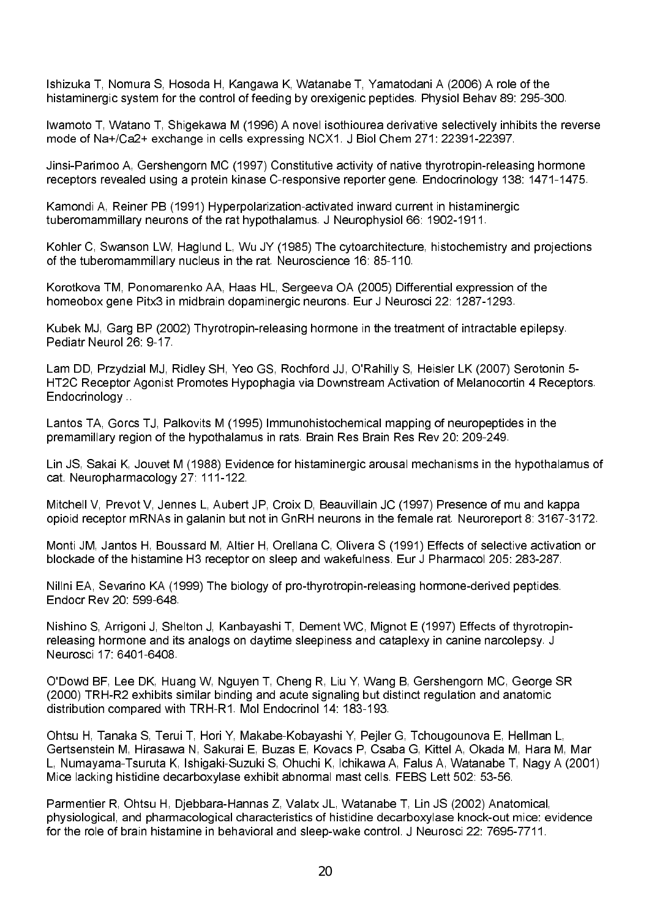Ishizuka T, Nomura S, Hosoda H, Kangawa K, Watanabe T, Yamatodani A (2006) A role of the histaminergic system for the control of feeding by orexigenic peptides. Physiol Behav 89: 295-300.

Iwamoto T, Watano T, Shigekawa M (1996) A novel isothiourea derivative selectively inhibits the reverse mode of Na+/Ca2+ exchange in cells expressing NCX1. J Biol Chem 271: 22391-22397.

Jinsi-Parimoo A. Gershengorn MC (1997) Constitutive activity of native thyrotropin-releasing hormone receptors revealed using a protein kinase C-responsive reporter gene. Endocrinology 138: 1471-1475.

Kamondi A. Reiner PB (1991) Hyperpolarization-activated inward current in histaminergic tuberomammillary neurons of the rat hypothalamus. J Neurophysiol 66: 1902-1911.

Kohler C. Swanson LW, Haglund L. Wu JY (1985) The cytoarchitecture, histochemistry and projections of the tuberomammillary nucleus in the rat. Neuroscience 16: 85-110.

Korotkova TM, Ponomarenko AA, Haas HL, Sergeeva OA (2005) Differential expression of the homeobox gene Pitx3 in midbrain dopaminergic neurons. Eur J Neurosci 22: 1287-1293.

Kubek MJ. Garg BP (2002) Thyrotropin-releasing hormone in the treatment of intractable epilepsy. Pediatr Neurol 26: 9-17

Lam DD, Przydzial MJ, Ridley SH, Yeo GS, Rochford JJ, O'Rahilly S, Heisler LK (2007) Serotonin 5-HT2C Receptor Agonist Promotes Hypophagia via Downstream Activation of Melanocortin 4 Receptors. Endocrinology

Lantos TA, Gorcs TJ, Palkovits M (1995) Immunohistochemical mapping of neuropeptides in the premamillary region of the hypothalamus in rats. Brain Res Brain Res Rey 20, 209-249.

Lin JS. Sakai K. Jouvet M (1988) Evidence for histaminergic arousal mechanisms in the hypothalamus of cat. Neuropharmacology 27: 111-122.

Mitchell V, Prevot V, Jennes L, Aubert JP, Croix D, Beauvillain JC (1997) Presence of mu and kappa opioid receptor mRNAs in galanin but not in GnRH neurons in the female rat. Neuroreport 8: 3167-3172.

Monti JM, Jantos H, Boussard M, Altier H, Orellana C, Olivera S (1991) Effects of selective activation or blockade of the histamine H3 receptor on sleep and wakefulness. Eur J Pharmacol 205: 283-287.

Nillni EA, Sevarino KA (1999) The biology of pro-thyrotropin-releasing hormone-derived peptides. Endocr Rev 20, 599-648

Nishino S, Arrigoni J, Shelton J, Kanbayashi T, Dement WC, Mignot E (1997) Effects of thyrotropinreleasing hormone and its analogs on daytime sleepiness and cataplexy in canine narcolepsy. J Neurosci 17, 6401-6408

O'Dowd BF, Lee DK, Huang W, Nguyen T, Cheng R, Liu Y, Wang B, Gershengorn MC, George SR (2000) TRH-R2 exhibits similar binding and acute signaling but distinct regulation and anatomic distribution compared with TRH-R1. Mol Endocrinol 14: 183-193.

Ohtsu H. Tanaka S. Terui T. Hori Y. Makabe-Kobayashi Y. Pejler G. Tchougounova E. Hellman L. Gertsenstein M, Hirasawa N, Sakurai E, Buzas E, Kovacs P, Csaba G, Kittel A, Okada M, Hara M, Mar L, Numayama-Tsuruta K, Ishigaki-Suzuki S, Ohuchi K, Ichikawa A, Falus A, Watanabe T, Nagy A (2001) Mice lacking histidine decarboxylase exhibit abnormal mast cells. FEBS Lett 502: 53-56.

Parmentier R, Ohtsu H, Djebbara-Hannas Z, Valatx JL, Watanabe T, Lin JS (2002) Anatomical, physiological, and pharmacological characteristics of histidine decarboxylase knock-out mice; evidence for the role of brain histamine in behavioral and sleep-wake control. J Neurosci 22: 7695-7711.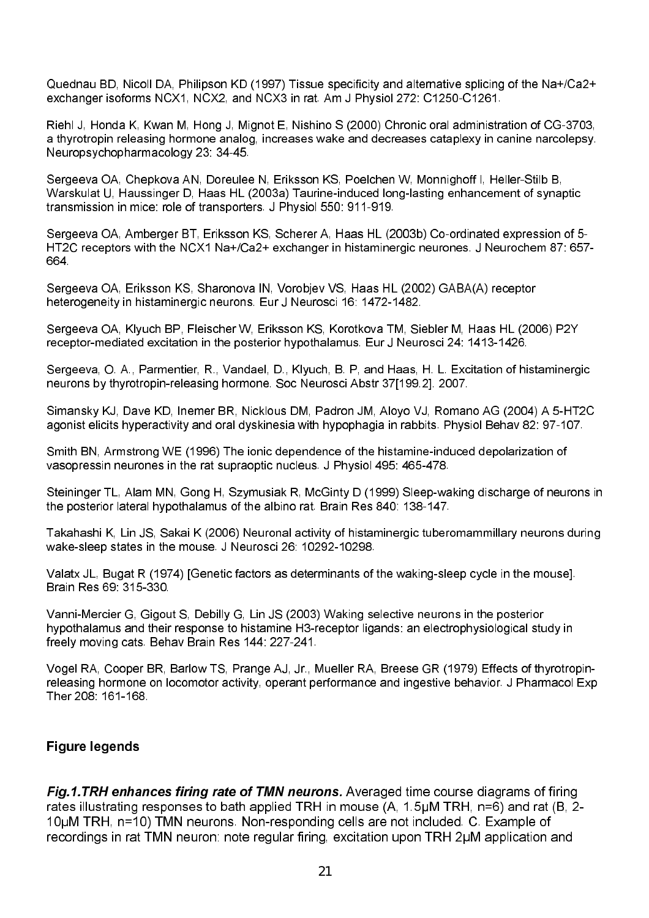Quednau BD, Nicoll DA, Philipson KD (1997) Tissue specificity and alternative splicing of the Na+/Ca2+ exchanger isoforms NCX1, NCX2, and NCX3 in rat. Am J Physiol 272: C1250-C1261.

Riehl J, Honda K, Kwan M, Hong J, Mignot E, Nishino S (2000) Chronic oral administration of CG-3703, a thyrotropin releasing hormone analog, increases wake and decreases cataplexy in canine narcolepsy. Neuropsychopharmacology 23, 34-45.

Sergeeva OA, Chepkova AN, Doreulee N, Eriksson KS, Poelchen W, Monnighoff I, Heller-Stilb B, Warskulat U. Haussinger D. Haas HL (2003a) Taurine-induced long-lasting enhancement of synaptic transmission in mice: role of transporters. J Physiol 550: 911-919.

Sergeeva OA, Amberger BT, Eriksson KS, Scherer A, Haas HL (2003b) Co-ordinated expression of 5-HT2C receptors with the NCX1 Na+/Ca2+ exchanger in histaminergic neurones. J Neurochem 87: 657-664

Sergeeva OA, Eriksson KS, Sharonova IN, Vorobjev VS, Haas HL (2002) GABA(A) receptor heterogeneity in histaminergic neurons. Eur J Neurosci 16: 1472-1482.

Sergeeva OA, Klyuch BP, Fleischer W, Eriksson KS, Korotkova TM, Siebler M, Haas HL (2006) P2Y receptor-mediated excitation in the posterior hypothalamus. Eur J Neurosci 24: 1413-1426.

Sergeeva, O. A., Parmentier, R., Vandael, D., Klyuch, B. P. and Haas, H. L. Excitation of histaminergic neurons by thyrotropin-releasing hormone. Soc Neurosci Abstr 37[199.2]. 2007.

Simansky KJ, Dave KD, Inemer BR, Nicklous DM, Padron JM, Aloyo VJ, Romano AG (2004) A 5-HT2C agonist elicits hyperactivity and oral dyskinesia with hypophagia in rabbits. Physiol Behav 82: 97-107.

Smith BN, Armstrong WE (1996) The ionic dependence of the histamine-induced depolarization of vasopressin neurones in the rat supraoptic nucleus. J Physiol 495: 465-478.

Steininger TL, Alam MN, Gong H, Szymusiak R, McGinty D (1999) Sleep-waking discharge of neurons in the posterior lateral hypothalamus of the albino rat. Brain Res 840: 138-147.

Takahashi K, Lin JS, Sakai K (2006) Neuronal activity of histaminergic tuberomammillary neurons during wake-sleep states in the mouse. J Neurosci 26: 10292-10298.

Valatx JL, Bugat R (1974) [Genetic factors as determinants of the waking-sleep cycle in the mouse]. Brain Res 69, 315-330

Vanni-Mercier G, Gigout S, Debilly G, Lin JS (2003) Waking selective neurons in the posterior hypothalamus and their response to histamine H3-receptor ligands; an electrophysiological study in freely moving cats, Behay Brain Res 144: 227-241.

Vogel RA, Cooper BR, Barlow TS, Prange AJ, Jr., Mueller RA, Breese GR (1979) Effects of thyrotropinreleasing hormone on locomotor activity, operant performance and ingestive behavior. J Pharmacol Exp Ther 208: 161-168

#### **Figure leaends**

**Fig.1.TRH enhances firing rate of TMN neurons.** Averaged time course diagrams of firing rates illustrating responses to bath applied TRH in mouse (A, 1.5µM TRH, n=6) and rat (B, 2-10uM TRH, n=10) TMN neurons. Non-responding cells are not included. C. Example of recordings in rat TMN neuron: note regular firing, excitation upon TRH 2µM application and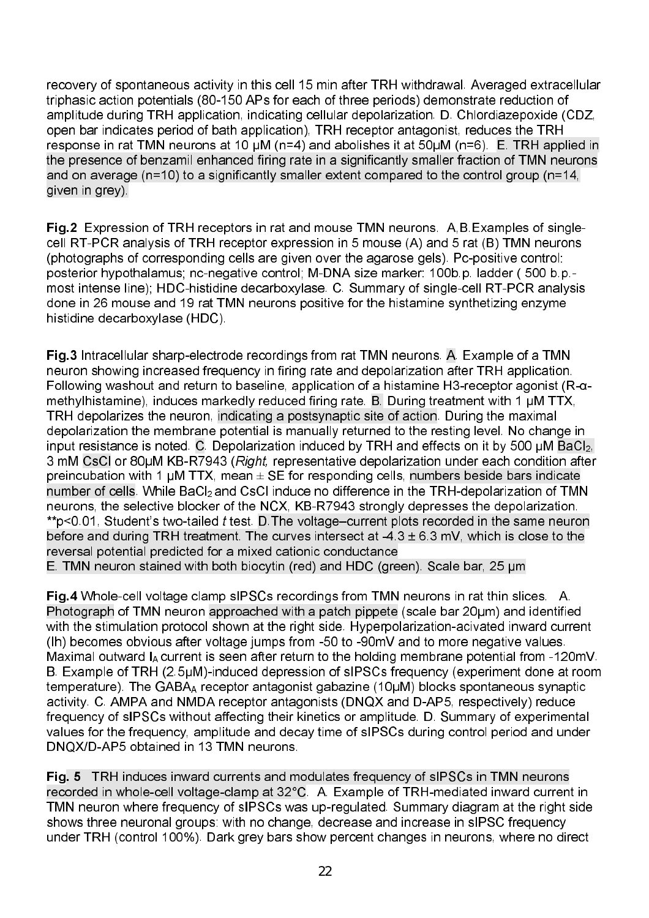recovery of spontaneous activity in this cell 15 min after TRH withdrawal. Averaged extracellular triphasic action potentials (80-150 APs for each of three periods) demonstrate reduction of amplitude during TRH application, indicating cellular depolarization. D. Chlordiazepoxide (CDZ, open bar indicates period of bath application), TRH receptor antagonist, reduces the TRH response in rat TMN neurons at 10  $\mu$ M (n=4) and abolishes it at 50 $\mu$ M (n=6). E. TRH applied in the presence of benzamil enhanced firing rate in a significantly smaller fraction of TMN neurons and on average (n=10) to a significantly smaller extent compared to the control group (n=14, given in grey).

 Expression of TRH receptors in rat and mouse TMN neurons. A,B.Examples of single cell RT-PCR analysis of TRH receptor expression in 5 mouse (A) and 5 rat (B) TMN neurons (photographs of corresponding cells are given over the agarose gels). Pc-positive control: posterior hypothalamus; nc-negative control; M-DNA size marker: 100b.p. ladder ( 500 b.p.most intense line); HDC-histidine decarboxylase. C. Summary of single-cell RT-PCR analysis done in 26 mouse and 19 rat TMN neurons positive for the histamine synthetizing enzyme histidine decarboxylase (HDC).

Fig.3 Intracellular sharp-electrode recordings from rat TMN neurons. A. Example of a TMN neuron showing increased frequency in firing rate and depolarization after TRH application. Following washout and return to baseline, application of a histamine H3-receptor agonist ( $R-\alpha$ methylhistamine), induces markedly reduced firing rate. B. During treatment with 1 uM TTX, TRH depolarizes the neuron, indicating a postsynaptic site of action. During the maximal depolarization the membrane potential is manually returned to the resting level. No change in input resistance is noted. C. Depolarization induced by TRH and effects on it by 500  $\mu$ M BaCl $_2$ , 3 mM CsCl or 80µM KB-R7943 (Right, representative depolarization under each condition after preincubation with 1 µM TTX, mean  $\pm$  SE for responding cells, numbers beside bars indicate number of cells. While BaCl $_2$ and CsCl induce no difference in the TRH-depolarization of TMN  $\,$ neurons, the selective blocker of the NCX, KB-R7943 strongly depresses the depolarization.  $*$ p<0.01, Student's two-tailed  $t$  test. D. The voltage–current plots recorded in the same neuron before and during TRH treatment. The curves intersect at  $-4.3 \pm 6.3$  mV, which is close to the reversal potential predicted for a mixed cationic conductance

E. TMN neuron stained with both biocytin (red) and HDC (green). Scale bar, 25  $\mu$ m

**Fig.4** Whole-cell voltage clamp sIPSCs recordings from TMN neurons in rat thin slices. A. Photograph of TMN neuron approached with a patch pippete (scale bar 20µm) and identified with the stimulation protocol shown at the right side. Hyperpolarization-acivated inward current (Ih) becomes obvious after voltage jumps from -50 to -90mV and to more negative values. Maximal outward  $I_A$  current is seen after return to the holding membrane potential from -120mV. B. Example of TRH (2.5µM)-induced depression of sIPSCs frequency (experiment done at room temperature). The GABA receptor antagonist gabazine (10uM) blocks spontaneous synaptic activity. C. AMPA and NMDA receptor antagonists (DNQX and D-AP5, respectively) reduce frequency of sIPSCs without affecting their kinetics or amplitude. D. Summary of experimental values for the frequency, amplitude and decay time of sIPSCs during control period and under DNQX/D-AP5 obtained in 13 TMN neurons.

**Fig. 5** TRH induces inward currents and modulates frequency of sIPSCs in TMN neurons recorded in whole-cell voltage-clamp at 32°C. A. Example of TRH-mediated inward current in TMN neuron where frequency of sIPSCs was up-regulated. Summary diagram at the right side shows three neuronal groups: with no change, decrease and increase in sIPSC frequency under TRH (control 100%). Dark grey bars show percent changes in neurons, where no direct